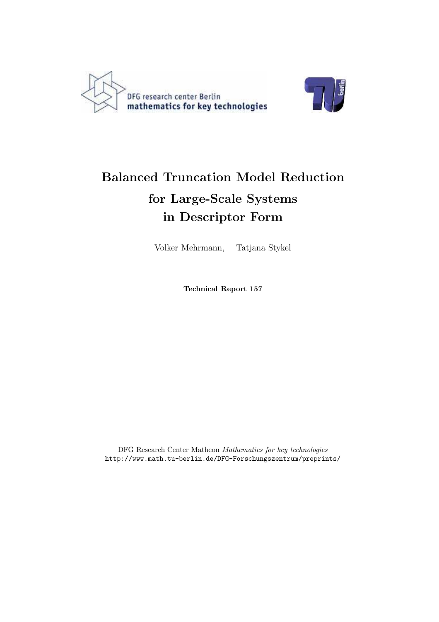



# Balanced Truncation Model Reduction for Large-Scale Systems in Descriptor Form

Volker Mehrmann, Tatjana Stykel

Technical Report 157

DFG Research Center Matheon Mathematics for key technologies http://www.math.tu-berlin.de/DFG-Forschungszentrum/preprints/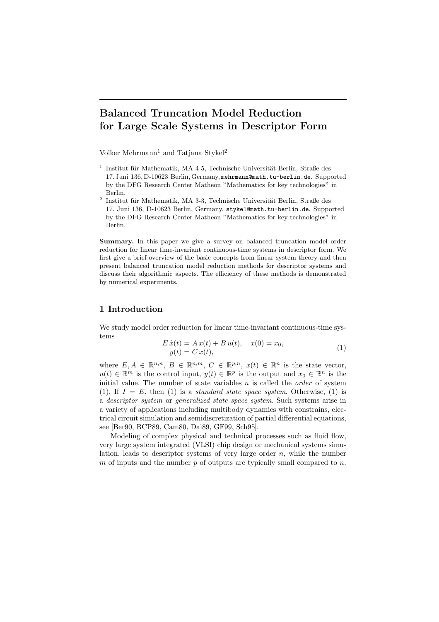# Balanced Truncation Model Reduction for Large Scale Systems in Descriptor Form

Volker Mehrmann<sup>1</sup> and Tatjana Stykel<sup>2</sup>

- $1$  Institut für Mathematik, MA 4-5, Technische Universität Berlin, Straße des 17. Juni 136, D-10623 Berlin, Germany, mehrmann@math.tu-berlin.de. Supported by the DFG Research Center Matheon "Mathematics for key technologies" in Berlin.
- $^{2}$  Institut für Mathematik, MA 3-3, Technische Universität Berlin, Straße des 17. Juni 136, D-10623 Berlin, Germany, stykel@math.tu-berlin.de. Supported by the DFG Research Center Matheon "Mathematics for key technologies" in Berlin.

Summary. In this paper we give a survey on balanced truncation model order reduction for linear time-invariant continuous-time systems in descriptor form. We first give a brief overview of the basic concepts from linear system theory and then present balanced truncation model reduction methods for descriptor systems and discuss their algorithmic aspects. The efficiency of these methods is demonstrated by numerical experiments.

# 1 Introduction

We study model order reduction for linear time-invariant continuous-time systems

$$
E \dot{x}(t) = A x(t) + B u(t), \quad x(0) = x_0,
$$
  
\n
$$
y(t) = C x(t), \tag{1}
$$

where  $E, A \in \mathbb{R}^{n,n}, B \in \mathbb{R}^{n,m}, C \in \mathbb{R}^{p,n}, x(t) \in \mathbb{R}^n$  is the state vector,  $u(t) \in \mathbb{R}^m$  is the control input,  $y(t) \in \mathbb{R}^p$  is the output and  $x_0 \in \mathbb{R}^n$  is the initial value. The number of state variables  $n$  is called the *order* of system (1). If  $I = E$ , then (1) is a *standard state space system*. Otherwise, (1) is a descriptor system or generalized state space system. Such systems arise in a variety of applications including multibody dynamics with constrains, electrical circuit simulation and semidiscretization of partial differential equations, see [Ber90, BCP89, Cam80, Dai89, GF99, Sch95].

Modeling of complex physical and technical processes such as fluid flow, very large system integrated (VLSI) chip design or mechanical systems simulation, leads to descriptor systems of very large order  $n$ , while the number m of inputs and the number  $p$  of outputs are typically small compared to  $n$ .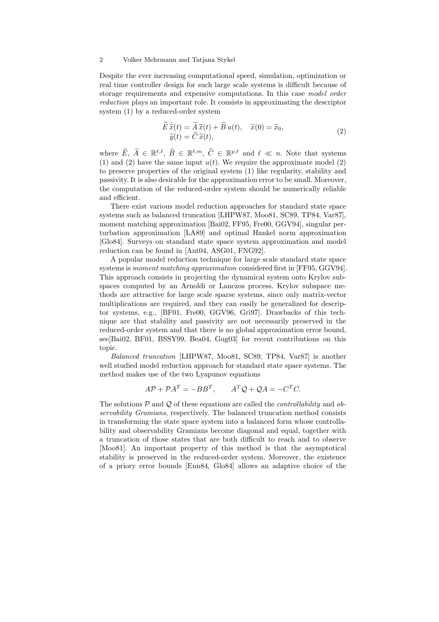Despite the ever increasing computational speed, simulation, optimization or real time controller design for such large scale systems is difficult because of storage requirements and expensive computations. In this case model order reduction plays an important role. It consists in approximating the descriptor system (1) by a reduced-order system

$$
\widetilde{E}\,\dot{\widetilde{x}}(t) = \widetilde{A}\,\widetilde{x}(t) + \widetilde{B}\,u(t), \quad \widetilde{x}(0) = \widetilde{x}_0, \n\widetilde{y}(t) = \widetilde{C}\,\widetilde{x}(t),
$$
\n(2)

where  $\widetilde{E}, \widetilde{A} \in \mathbb{R}^{\ell,\ell}, \widetilde{B} \in \mathbb{R}^{\ell,m}, \widetilde{C} \in \mathbb{R}^{p,\ell}$  and  $\ell \ll n$ . Note that systems (1) and (2) have the same input  $u(t)$ . We require the approximate model (2) to preserve properties of the original system (1) like regularity, stability and passivity. It is also desirable for the approximation error to be small. Moreover, the computation of the reduced-order system should be numerically reliable and efficient.

There exist various model reduction approaches for standard state space systems such as balanced truncation [LHPW87, Moo81, SC89, TP84, Var87], moment matching approximation [Bai02, FF95, Fre00, GGV94], singular perturbation approximation [LA89] and optimal Hankel norm approximation [Glo84]. Surveys on standard state space system approximation and model reduction can be found in [Ant04, ASG01, FNG92].

A popular model reduction technique for large scale standard state space systems is moment matching approximation considered first in [FF95, GGV94]. This approach consists in projecting the dynamical system onto Krylov subspaces computed by an Arnoldi or Lanczos process. Krylov subspace methods are attractive for large scale sparse systems, since only matrix-vector multiplications are required, and they can easily be generalized for descriptor systems, e.g., [BF01, Fre00, GGV96, Gri97]. Drawbacks of this technique are that stability and passivity are not necessarily preserved in the reduced-order system and that there is no global approximation error bound, see[Bai02, BF01, BSSY99, Bea04, Gug03] for recent contributions on this topic.

Balanced truncation [LHPW87, Moo81, SC89, TP84, Var87] is another well studied model reduction approach for standard state space systems. The method makes use of the two Lyapunov equations

$$
A\mathcal{P} + \mathcal{P}A^T = -BB^T, \qquad A^T \mathcal{Q} + \mathcal{Q}A = -C^T C.
$$

The solutions  $P$  and  $Q$  of these equations are called the *controllability* and *ob*servability Gramians, respectively. The balanced truncation method consists in transforming the state space system into a balanced form whose controllability and observability Gramians become diagonal and equal, together with a truncation of those states that are both difficult to reach and to observe [Moo81]. An important property of this method is that the asymptotical stability is preserved in the reduced-order system. Moreover, the existence of a priory error bounds [Enn84, Glo84] allows an adaptive choice of the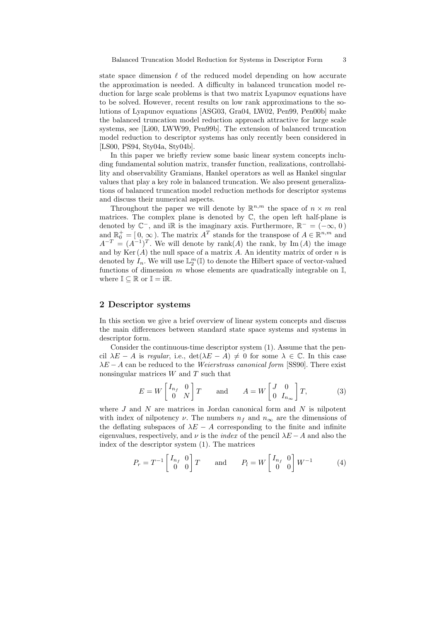state space dimension  $\ell$  of the reduced model depending on how accurate the approximation is needed. A difficulty in balanced truncation model reduction for large scale problems is that two matrix Lyapunov equations have to be solved. However, recent results on low rank approximations to the solutions of Lyapunov equations [ASG03, Gra04, LW02, Pen99, Pen00b] make the balanced truncation model reduction approach attractive for large scale systems, see [Li00, LWW99, Pen99b]. The extension of balanced truncation model reduction to descriptor systems has only recently been considered in [LS00, PS94, Sty04a, Sty04b].

In this paper we briefly review some basic linear system concepts including fundamental solution matrix, transfer function, realizations, controllability and observability Gramians, Hankel operators as well as Hankel singular values that play a key role in balanced truncation. We also present generalizations of balanced truncation model reduction methods for descriptor systems and discuss their numerical aspects.

Throughout the paper we will denote by  $\mathbb{R}^{n,m}$  the space of  $n \times m$  real matrices. The complex plane is denoted by  $\mathbb{C}$ , the open left half-plane is denoted by  $\mathbb{C}^-$ , and i $\mathbb R$  is the imaginary axis. Furthermore,  $\mathbb{R}^- = (-\infty, 0)$ and  $\mathbb{R}_0^+ = [0, \infty)$ . The matrix  $A^T$  stands for the transpose of  $A \in \mathbb{R}^{n,m}$  and  $A^{-T} = (A^{-1})^T$ . We will denote by rank $(A)$  the rank, by Im  $(A)$  the image and by  $\text{Ker}(A)$  the null space of a matrix A. An identity matrix of order n is denoted by  $I_n$ . We will use  $\mathbb{L}_2^m(\mathbb{I})$  to denote the Hilbert space of vector-valued functions of dimension  $m$  whose elements are quadratically integrable on  $\mathbb{I}$ , where  $\mathbb{I} \subseteq \mathbb{R}$  or  $\mathbb{I} = i\mathbb{R}$ .

# 2 Descriptor systems

In this section we give a brief overview of linear system concepts and discuss the main differences between standard state space systems and systems in descriptor form.

Consider the continuous-time descriptor system (1). Assume that the pencil  $\lambda E - A$  is regular, i.e.,  $\det(\lambda E - A) \neq 0$  for some  $\lambda \in \mathbb{C}$ . In this case  $\lambda E - A$  can be reduced to the *Weierstrass canonical form* [SS90]. There exist nonsingular matrices  $W$  and  $T$  such that

$$
E = W \begin{bmatrix} I_{n_f} & 0 \\ 0 & N \end{bmatrix} T \quad \text{and} \quad A = W \begin{bmatrix} J & 0 \\ 0 & I_{n_{\infty}} \end{bmatrix} T, \tag{3}
$$

where  $J$  and  $N$  are matrices in Jordan canonical form and  $N$  is nilpotent with index of nilpotency  $\nu$ . The numbers  $n_f$  and  $n_\infty$  are the dimensions of the deflating subspaces of  $\lambda E - A$  corresponding to the finite and infinite eigenvalues, respectively, and  $\nu$  is the *index* of the pencil  $\lambda E - A$  and also the index of the descriptor system (1). The matrices

$$
P_r = T^{-1} \begin{bmatrix} I_{n_f} & 0 \\ 0 & 0 \end{bmatrix} T \quad \text{and} \quad P_l = W \begin{bmatrix} I_{n_f} & 0 \\ 0 & 0 \end{bmatrix} W^{-1} \tag{4}
$$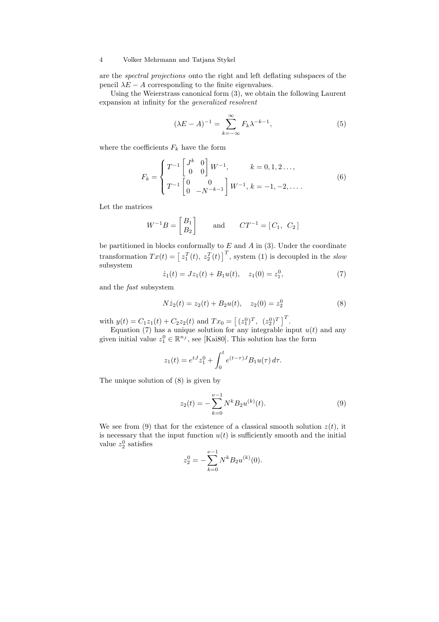are the spectral projections onto the right and left deflating subspaces of the pencil  $\lambda E - A$  corresponding to the finite eigenvalues.

Using the Weierstrass canonical form (3), we obtain the following Laurent expansion at infinity for the generalized resolvent

$$
(\lambda E - A)^{-1} = \sum_{k=-\infty}^{\infty} F_k \lambda^{-k-1},\tag{5}
$$

where the coefficients  $F_k$  have the form

$$
F_k = \begin{cases} T^{-1} \begin{bmatrix} J^k & 0 \\ 0 & 0 \end{bmatrix} W^{-1}, & k = 0, 1, 2 \dots, \\ T^{-1} \begin{bmatrix} 0 & 0 \\ 0 & -N^{-k-1} \end{bmatrix} W^{-1}, & k = -1, -2, \dots. \end{cases}
$$
(6)

Let the matrices

$$
W^{-1}B = \begin{bmatrix} B_1 \\ B_2 \end{bmatrix} \quad \text{and} \quad CT^{-1} = \begin{bmatrix} C_1, & C_2 \end{bmatrix}
$$

be partitioned in blocks conformally to  $E$  and  $A$  in (3). Under the coordinate transformation  $Tx(t) = \left[z_1^T(t), z_2^T(t)\right]^T$ , system (1) is decoupled in the slow subsystem

$$
\dot{z}_1(t) = Jz_1(t) + B_1u(t), \quad z_1(0) = z_1^0,\tag{7}
$$

and the fast subsystem

$$
N\dot{z}_2(t) = z_2(t) + B_2 u(t), \quad z_2(0) = z_2^0 \tag{8}
$$

with  $y(t) = C_1 z_1(t) + C_2 z_2(t)$  and  $Tx_0 = [(z_1^0)^T, (z_2^0)^T]^T$ .

Equation (7) has a unique solution for any integrable input  $u(t)$  and any given initial value  $z_1^0 \in \mathbb{R}^{n_f}$ , see [Kai80]. This solution has the form

$$
z_1(t) = e^{tJ} z_1^0 + \int_0^t e^{(t-\tau)J} B_1 u(\tau) d\tau.
$$

The unique solution of (8) is given by

$$
z_2(t) = -\sum_{k=0}^{\nu-1} N^k B_2 u^{(k)}(t).
$$
 (9)

We see from (9) that for the existence of a classical smooth solution  $z(t)$ , it is necessary that the input function  $u(t)$  is sufficiently smooth and the initial value  $z_2^0$  satisfies

$$
z_2^0 = -\sum_{k=0}^{\nu-1} N^k B_2 u^{(k)}(0).
$$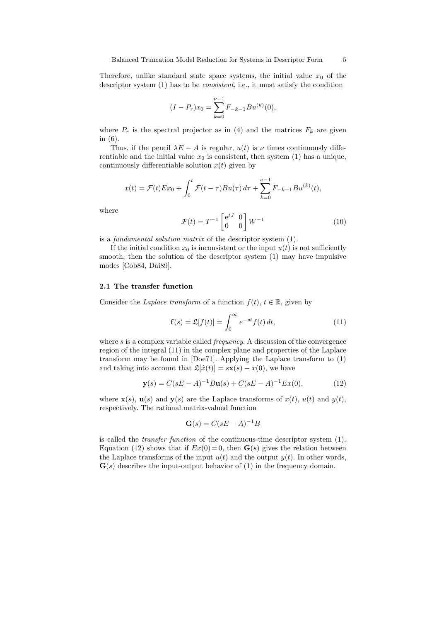Therefore, unlike standard state space systems, the initial value  $x_0$  of the descriptor system (1) has to be consistent, i.e., it must satisfy the condition

$$
(I - P_r)x_0 = \sum_{k=0}^{\nu-1} F_{-k-1}Bu^{(k)}(0),
$$

where  $P_r$  is the spectral projector as in (4) and the matrices  $F_k$  are given in (6).

Thus, if the pencil  $\lambda E - A$  is regular,  $u(t)$  is  $\nu$  times continuously differentiable and the initial value  $x_0$  is consistent, then system (1) has a unique, continuously differentiable solution  $x(t)$  given by

$$
x(t) = \mathcal{F}(t)Ex_0 + \int_0^t \mathcal{F}(t-\tau)Bu(\tau) d\tau + \sum_{k=0}^{\nu-1} F_{-k-1}Bu^{(k)}(t),
$$

where

$$
\mathcal{F}(t) = T^{-1} \begin{bmatrix} e^{tJ} & 0\\ 0 & 0 \end{bmatrix} W^{-1}
$$
 (10)

is a fundamental solution matrix of the descriptor system (1).

If the initial condition  $x_0$  is inconsistent or the input  $u(t)$  is not sufficiently smooth, then the solution of the descriptor system (1) may have impulsive modes [Cob84, Dai89].

# 2.1 The transfer function

Consider the Laplace transform of a function  $f(t)$ ,  $t \in \mathbb{R}$ , given by

$$
\mathbf{f}(s) = \mathfrak{L}[f(t)] = \int_0^\infty e^{-st} f(t) dt,
$$
\n(11)

where  $s$  is a complex variable called *frequency*. A discussion of the convergence region of the integral (11) in the complex plane and properties of the Laplace transform may be found in [Doe71]. Applying the Laplace transform to (1) and taking into account that  $\mathfrak{L}[x(t)] = s\mathbf{x}(s) - x(0)$ , we have

$$
\mathbf{y}(s) = C(sE - A)^{-1}B\mathbf{u}(s) + C(sE - A)^{-1}Ex(0),\tag{12}
$$

where  $\mathbf{x}(s)$ ,  $\mathbf{u}(s)$  and  $\mathbf{y}(s)$  are the Laplace transforms of  $x(t)$ ,  $u(t)$  and  $y(t)$ , respectively. The rational matrix-valued function

$$
\mathbf{G}(s) = C(sE - A)^{-1}B
$$

is called the transfer function of the continuous-time descriptor system (1). Equation (12) shows that if  $Ex(0)=0$ , then  $\mathbf{G}(s)$  gives the relation between the Laplace transforms of the input  $u(t)$  and the output  $y(t)$ . In other words,  $\mathbf{G}(s)$  describes the input-output behavior of (1) in the frequency domain.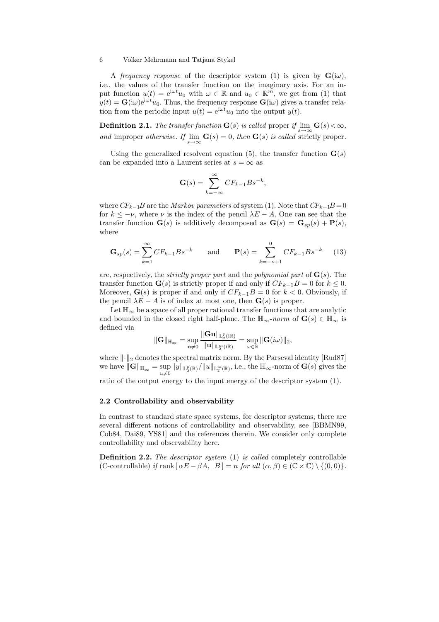A frequency response of the descriptor system (1) is given by  $\mathbf{G}(i\omega)$ , i.e., the values of the transfer function on the imaginary axis. For an input function  $u(t) = e^{i\omega t}u_0$  with  $\omega \in \mathbb{R}$  and  $u_0 \in \mathbb{R}^m$ , we get from (1) that  $y(t) = G(i\omega)e^{i\omega t}u_0$ . Thus, the frequency response  $G(i\omega)$  gives a transfer relation from the periodic input  $u(t) = e^{i\omega t}u_0$  into the output  $y(t)$ .

**Definition 2.1.** The transfer function  $\mathbf{G}(s)$  is called proper if  $\lim_{s\to\infty} \mathbf{G}(s) < \infty$ , and improper otherwise. If  $\lim_{s\to\infty} \mathbf{G}(s) = 0$ , then  $\mathbf{G}(s)$  is called strictly proper.

Using the generalized resolvent equation (5), the transfer function  $\mathbf{G}(s)$ can be expanded into a Laurent series at  $s = \infty$  as

$$
\mathbf{G}(s) = \sum_{k=-\infty}^{\infty} CF_{k-1}Bs^{-k},
$$

where  $CF_{k-1}B$  are the *Markov parameters* of system (1). Note that  $CF_{k-1}B = 0$ for  $k \le -\nu$ , where  $\nu$  is the index of the pencil  $\lambda E - A$ . One can see that the transfer function  $\mathbf{G}(s)$  is additively decomposed as  $\mathbf{G}(s) = \mathbf{G}_{sp}(s) + \mathbf{P}(s)$ , where

$$
\mathbf{G}_{sp}(s) = \sum_{k=1}^{\infty} CF_{k-1}Bs^{-k} \quad \text{and} \quad \mathbf{P}(s) = \sum_{k=-\nu+1}^{0} CF_{k-1}Bs^{-k} \quad (13)
$$

are, respectively, the *strictly proper part* and the *polynomial part* of  $\mathbf{G}(s)$ . The transfer function  $\mathbf{G}(s)$  is strictly proper if and only if  $CF_{k-1}B = 0$  for  $k \leq 0$ . Moreover,  $\mathbf{G}(s)$  is proper if and only if  $CF_{k-1}B = 0$  for  $k < 0$ . Obviously, if the pencil  $\lambda E - A$  is of index at most one, then  $\mathbf{G}(s)$  is proper.

Let  $\mathbb{H}_{\infty}$  be a space of all proper rational transfer functions that are analytic and bounded in the closed right half-plane. The  $\mathbb{H}_{\infty}$ -norm of  $\mathbf{G}(s) \in \mathbb{H}_{\infty}$  is defined via  $k \approx 10$ 

$$
\|\mathbf{G}\|_{\mathbb{H}_{\infty}}=\sup_{\mathbf{u}\neq 0}\frac{\|\mathbf{G}\mathbf{u}\|_{\mathbb{L}_2^p(i\mathbb{R})}}{\|\mathbf{u}\|_{\mathbb{L}_2^m(i\mathbb{R})}}=\sup_{\omega\in\mathbb{R}}\|\mathbf{G}(i\omega)\|_2,
$$

where  $\lVert \cdot \rVert_2$  denotes the spectral matrix norm. By the Parseval identity [Rud87] we have  $\|\mathbf{G}\|_{\mathbb{H}_{\infty}} = \sup_{u \neq 0} \|y\|_{\mathbb{L}_2^p(\mathbb{R})} / \|u\|_{\mathbb{L}_2^m(\mathbb{R})}$ , i.e., the  $\mathbb{H}_{\infty}$ -norm of  $\mathbf{G}(s)$  gives the

ratio of the output energy to the input energy of the descriptor system (1).

# 2.2 Controllability and observability

In contrast to standard state space systems, for descriptor systems, there are several different notions of controllability and observability, see [BBMN99, Cob84, Dai89, YS81] and the references therein. We consider only complete controllability and observability here.

**Definition 2.2.** The descriptor system (1) is called completely controllable (C-controllable) if rank  $[\alpha E - \beta A, B] = n$  for all  $(\alpha, \beta) \in (\mathbb{C} \times \mathbb{C}) \setminus \{(0, 0)\}.$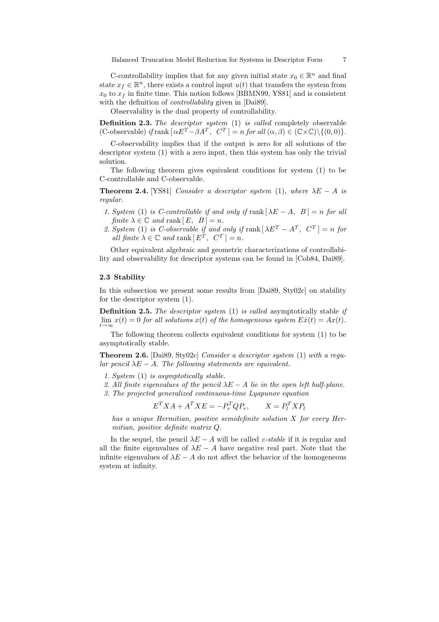C-controllability implies that for any given initial state  $x_0 \in \mathbb{R}^n$  and final state  $x_f \in \mathbb{R}^n$ , there exists a control input  $u(t)$  that transfers the system from  $x_0$  to  $x_f$  in finite time. This notion follows [BBMN99, YS81] and is consistent with the definition of *controllability* given in [Dai89].

Observability is the dual property of controllability.

Definition 2.3. The descriptor system (1) is called completely observable (C-observable) if rank  $\left[\alpha E^T - \beta A^T, C^T\right] = n$  for all  $(\alpha, \beta) \in (\mathbb{C} \times \mathbb{C}) \setminus \{(0, 0)\}.$ 

C-observability implies that if the output is zero for all solutions of the descriptor system (1) with a zero input, then this system has only the trivial solution.

The following theorem gives equivalent conditions for system (1) to be C-controllable and C-observable.

**Theorem 2.4.** [YS81] Consider a descriptor system (1), where  $\lambda E - A$  is regular.

- 1. System (1) is C-controllable if and only if rank  $[\lambda E A, B] = n$  for all finite  $\lambda \in \mathbb{C}$  and rank  $[E, B] = n$ .
- 2. System (1) is C-observable if and only if  $\text{rank}[\lambda E^T A^T, C^T] = n$  for all finite  $\lambda \in \mathbb{C}$  and rank  $[E^T, C^T] = n$ .

Other equivalent algebraic and geometric characterizations of controllability and observability for descriptor systems can be found in [Cob84, Dai89].

# 2.3 Stability

In this subsection we present some results from [Dai89, Sty02c] on stability for the descriptor system (1).

**Definition 2.5.** The descriptor system  $(1)$  is called asymptotically stable if  $\lim_{t\to\infty} x(t) = 0$  for all solutions  $x(t)$  of the homogeneous system  $E\dot{x}(t) = Ax(t)$ .

The following theorem collects equivalent conditions for system (1) to be asymptotically stable.

Theorem 2.6. [Dai89, Sty02c] Consider a descriptor system (1) with a regular pencil  $\lambda E - A$ . The following statements are equivalent.

- 1. System (1) is asymptotically stable.
- 2. All finite eigenvalues of the pencil  $\lambda E A$  lie in the open left half-plane.
- 3. The projected generalized continuous-time Lyapunov equation

$$
E^T X A + A^T X E = -P_r^T Q P_r, \qquad X = P_l^T X P_l
$$

has a unique Hermitian, positive semidefinite solution X for every Hermitian, positive definite matrix Q.

In the sequel, the pencil  $\lambda E - A$  will be called *c-stable* if it is regular and all the finite eigenvalues of  $\lambda E - A$  have negative real part. Note that the infinite eigenvalues of  $\lambda E - A$  do not affect the behavior of the homogeneous system at infinity.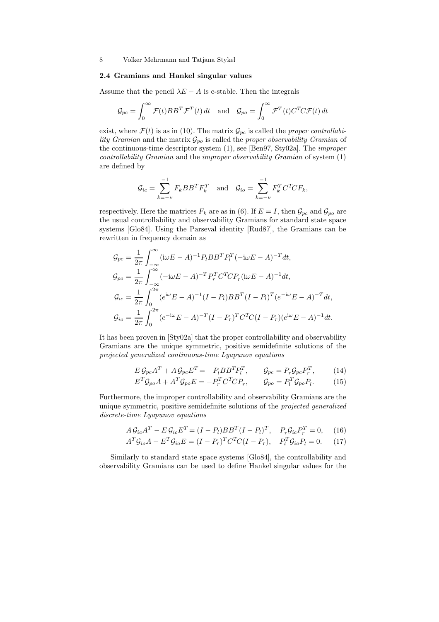# 2.4 Gramians and Hankel singular values

Assume that the pencil  $\lambda E - A$  is c-stable. Then the integrals

$$
\mathcal{G}_{pc} = \int_0^\infty \mathcal{F}(t) BB^T \mathcal{F}^T(t) dt \quad \text{and} \quad \mathcal{G}_{po} = \int_0^\infty \mathcal{F}^T(t) C^T C \mathcal{F}(t) dt
$$

exist, where  $\mathcal{F}(t)$  is as in (10). The matrix  $\mathcal{G}_{pc}$  is called the proper controllability Gramian and the matrix  $\mathcal{G}_{po}$  is called the proper observability Gramian of the continuous-time descriptor system (1), see [Ben97, Sty02a]. The improper controllability Gramian and the improper observability Gramian of system (1) are defined by

$$
\mathcal{G}_{ic} = \sum_{k=-\nu}^{-1} F_k B B^T F_k^T \quad \text{and} \quad \mathcal{G}_{io} = \sum_{k=-\nu}^{-1} F_k^T C^T C F_k,
$$

respectively. Here the matrices  $F_k$  are as in (6). If  $E = I$ , then  $\mathcal{G}_{pc}$  and  $\mathcal{G}_{po}$  are the usual controllability and observability Gramians for standard state space systems [Glo84]. Using the Parseval identity [Rud87], the Gramians can be rewritten in frequency domain as

$$
G_{pc} = \frac{1}{2\pi} \int_{-\infty}^{\infty} (\mathrm{i}\omega E - A)^{-1} P_l B B^T P_l^T (-\mathrm{i}\omega E - A)^{-T} dt,
$$
  
\n
$$
G_{po} = \frac{1}{2\pi} \int_{-\infty}^{\infty} (-\mathrm{i}\omega E - A)^{-T} P_r^T C^T C P_r (\mathrm{i}\omega E - A)^{-1} dt,
$$
  
\n
$$
G_{ic} = \frac{1}{2\pi} \int_{0}^{2\pi} (e^{\mathrm{i}\omega} E - A)^{-1} (I - P_l) B B^T (I - P_l)^T (e^{-\mathrm{i}\omega} E - A)^{-T} dt,
$$
  
\n
$$
G_{io} = \frac{1}{2\pi} \int_{0}^{2\pi} (e^{-\mathrm{i}\omega} E - A)^{-T} (I - P_r)^T C^T C (I - P_r) (e^{\mathrm{i}\omega} E - A)^{-1} dt.
$$

It has been proven in [Sty02a] that the proper controllability and observability Gramians are the unique symmetric, positive semidefinite solutions of the projected generalized continuous-time Lyapunov equations

$$
E \mathcal{G}_{pc} A^T + A \mathcal{G}_{pc} E^T = -P_l B B^T P_l^T, \qquad \mathcal{G}_{pc} = P_r \mathcal{G}_{pc} P_r^T, \qquad (14)
$$
  

$$
E^T \mathcal{G}_{po} A + A^T \mathcal{G}_{po} E = -P_r^T C^T C P_r, \qquad \mathcal{G}_{po} = P_l^T \mathcal{G}_{po} P_l. \qquad (15)
$$

Furthermore, the improper controllability and observability Gramians are the unique symmetric, positive semidefinite solutions of the projected generalized discrete-time Lyapunov equations

$$
A\mathcal{G}_{ic}A^T - E\mathcal{G}_{ic}E^T = (I - P_l)BB^T(I - P_l)^T, \quad P_r\mathcal{G}_{ic}P_r^T = 0,\tag{16}
$$

$$
A^T \mathcal{G}_{io} A - E^T \mathcal{G}_{io} E = (I - P_r)^T C^T C (I - P_r), \quad P_l^T \mathcal{G}_{io} P_l = 0. \tag{17}
$$

Similarly to standard state space systems [Glo84], the controllability and observability Gramians can be used to define Hankel singular values for the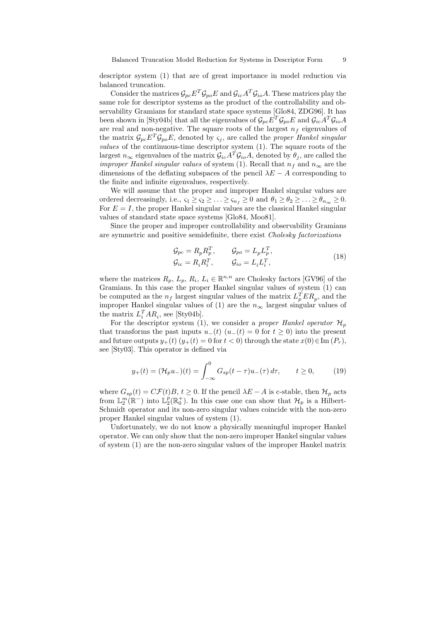Balanced Truncation Model Reduction for Systems in Descriptor Form 9

descriptor system (1) that are of great importance in model reduction via balanced truncation.

Consider the matrices  $\mathcal{G}_{pc}E^{T}\mathcal{G}_{po}E$  and  $\mathcal{G}_{ic}A^{T}\mathcal{G}_{io}A$ . These matrices play the same role for descriptor systems as the product of the controllability and observability Gramians for standard state space systems [Glo84, ZDG96]. It has been shown in [Sty04b] that all the eigenvalues of  $\mathcal{G}_{pc}E^{T}\mathcal{G}_{po}E$  and  $\mathcal{G}_{ic}A^{T}\mathcal{G}_{io}A$ are real and non-negative. The square roots of the largest  $n_f$  eigenvalues of the matrix  $\mathcal{G}_{pc}E^T\mathcal{G}_{po}E$ , denoted by  $\varsigma_i$ , are called the proper Hankel singular values of the continuous-time descriptor system (1). The square roots of the largest  $n_{\infty}$  eigenvalues of the matrix  $\mathcal{G}_{ic}A^T\mathcal{G}_{io}A$ , denoted by  $\theta_j$ , are called the *improper Hankel singular values* of system (1). Recall that  $n_f$  and  $n_\infty$  are the dimensions of the deflating subspaces of the pencil  $\lambda E - A$  corresponding to the finite and infinite eigenvalues, respectively.

We will assume that the proper and improper Hankel singular values are ordered decreasingly, i.e.,  $\varsigma_1 \geq \varsigma_2 \geq \ldots \geq \varsigma_{n_f} \geq 0$  and  $\theta_1 \geq \theta_2 \geq \ldots \geq \theta_{n_\infty} \geq 0$ . For  $E = I$ , the proper Hankel singular values are the classical Hankel singular values of standard state space systems [Glo84, Moo81].

Since the proper and improper controllability and observability Gramians are symmetric and positive semidefinite, there exist Cholesky factorizations

$$
\mathcal{G}_{pc} = R_p R_p^T, \qquad \mathcal{G}_{po} = L_p L_p^T,
$$
  
\n
$$
\mathcal{G}_{ic} = R_i R_i^T, \qquad \mathcal{G}_{io} = L_i L_i^T,
$$
\n(18)

where the matrices  $R_p$ ,  $L_p$ ,  $R_i$ ,  $L_i \in \mathbb{R}^{n,n}$  are Cholesky factors [GV96] of the Gramians. In this case the proper Hankel singular values of system (1) can be computed as the  $n_f$  largest singular values of the matrix  $L_p^T E R_p$ , and the improper Hankel singular values of (1) are the  $n_{\infty}$  largest singular values of the matrix  $L_i^T AR_i$ , see [Sty04b].

For the descriptor system (1), we consider a proper Hankel operator  $\mathcal{H}_p$ that transforms the past inputs  $u_{-}(t)$  ( $u_{-}(t) = 0$  for  $t \ge 0$ ) into the present and future outputs  $y_+(t)$   $(y_+(t) = 0$  for  $t < 0$ ) through the state  $x(0) \in \text{Im}(P_r)$ , see [Sty03]. This operator is defined via

$$
y_{+}(t) = (\mathcal{H}_{p}u_{-})(t) = \int_{-\infty}^{0} G_{sp}(t-\tau)u_{-}(\tau) d\tau, \qquad t \ge 0,
$$
 (19)

where  $G_{sp}(t) = C\mathcal{F}(t)B, t \geq 0$ . If the pencil  $\lambda E - A$  is c-stable, then  $\mathcal{H}_p$  acts from  $\mathbb{L}_2^m(\mathbb{R}^-)$  into  $\mathbb{L}_2^p(\mathbb{R}_0^+)$ . In this case one can show that  $\mathcal{H}_p$  is a Hilbert-Schmidt operator and its non-zero singular values coincide with the non-zero proper Hankel singular values of system (1).

Unfortunately, we do not know a physically meaningful improper Hankel operator. We can only show that the non-zero improper Hankel singular values of system (1) are the non-zero singular values of the improper Hankel matrix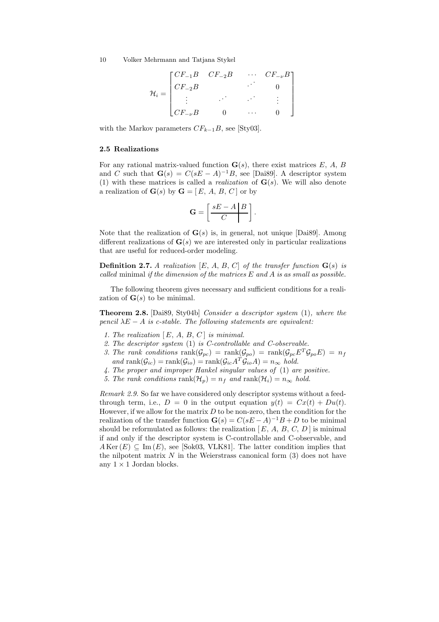$$
\mathcal{H}_i = \begin{bmatrix} CF_{-1}B & CF_{-2}B & \cdots & CF_{-\nu}B \\ CF_{-2}B & \cdots & 0 \\ \vdots & \ddots & \ddots & \vdots \\ CF_{-\nu}B & 0 & \cdots & 0 \end{bmatrix}
$$

with the Markov parameters  $CF_{k-1}B$ , see [Sty03].

# 2.5 Realizations

For any rational matrix-valued function  $\mathbf{G}(s)$ , there exist matrices E, A, B and C such that  $\mathbf{G}(s) = C(sE - A)^{-1}B$ , see [Dai89]. A descriptor system (1) with these matrices is called a *realization* of  $\mathbf{G}(s)$ . We will also denote a realization of  $\mathbf{G}(s)$  by  $\mathbf{G} = [E, A, B, C]$  or by

$$
\mathbf{G} = \left[ \frac{sE - A \mid B}{C} \right].
$$

Note that the realization of  $\mathbf{G}(s)$  is, in general, not unique [Dai89]. Among different realizations of  $\mathbf{G}(s)$  we are interested only in particular realizations that are useful for reduced-order modeling.

**Definition 2.7.** A realization [E, A, B, C] of the transfer function  $\mathbf{G}(s)$  is called minimal if the dimension of the matrices  $E$  and  $A$  is as small as possible.

The following theorem gives necessary and sufficient conditions for a realization of  $\mathbf{G}(s)$  to be minimal.

Theorem 2.8. [Dai89, Sty04b] Consider a descriptor system (1), where the pencil  $\lambda E - A$  is c-stable. The following statements are equivalent:

- 1. The realization  $[E, A, B, C]$  is minimal.
- 2. The descriptor system (1) is C-controllable and C-observable.
- 3. The rank conditions  $\text{rank}(\mathcal{G}_{pc}) = \text{rank}(\mathcal{G}_{po}) = \text{rank}(\mathcal{G}_{pc}E^T\mathcal{G}_{po}E) = n_f$ and  $\text{rank}(\mathcal{G}_{ic}) = \text{rank}(\mathcal{G}_{io}) = \text{rank}(\mathcal{G}_{ic}A^T \mathcal{G}_{io}A) = n_{\infty}$  hold.
- 4. The proper and improper Hankel singular values of (1) are positive.
- 5. The rank conditions rank $(\mathcal{H}_p) = n_f$  and rank $(\mathcal{H}_i) = n_\infty$  hold.

Remark 2.9. So far we have considered only descriptor systems without a feedthrough term, i.e.,  $D = 0$  in the output equation  $y(t) = Cx(t) + Du(t)$ . However, if we allow for the matrix  $D$  to be non-zero, then the condition for the realization of the transfer function  $\mathbf{G}(s) = C(sE - A)^{-1}B + D$  to be minimal should be reformulated as follows: the realization  $[E, A, B, C, D]$  is minimal if and only if the descriptor system is C-controllable and C-observable, and  $A \text{Ker}(E) \subseteq \text{Im}(E)$ , see [Sok03, VLK81]. The latter condition implies that the nilpotent matrix  $N$  in the Weierstrass canonical form  $(3)$  does not have any  $1 \times 1$  Jordan blocks.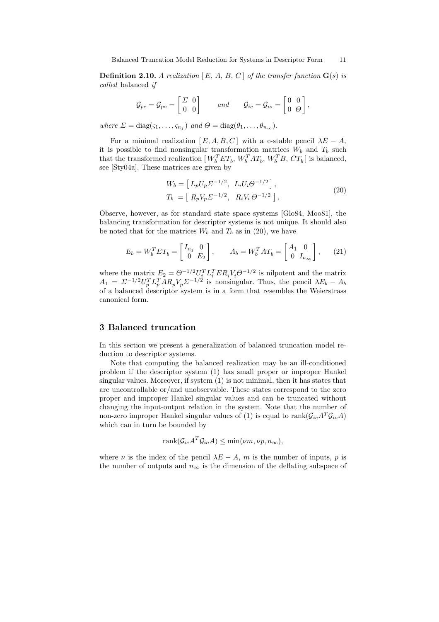**Definition 2.10.** A realization  $[E, A, B, C]$  of the transfer function  $\mathbf{G}(s)$  is called balanced if

$$
\mathcal{G}_{pc} = \mathcal{G}_{po} = \begin{bmatrix} \Sigma & 0 \\ 0 & 0 \end{bmatrix} \quad \text{and} \quad \mathcal{G}_{ic} = \mathcal{G}_{io} = \begin{bmatrix} 0 & 0 \\ 0 & \Theta \end{bmatrix},
$$

where  $\Sigma = \text{diag}(\varsigma_1, \ldots, \varsigma_{n_f})$  and  $\Theta = \text{diag}(\theta_1, \ldots, \theta_{n_\infty}).$ 

For a minimal realization [ $E, A, B, C$ ] with a c-stable pencil  $\lambda E - A$ , it is possible to find nonsingular transformation matrices  $W_b$  and  $T_b$  such that the transformed realization  $[W_b^T E T_b, W_b^T A T_b, W_b^T B, C T_b]$  is balanced, see [Sty04a]. These matrices are given by

$$
W_b = [L_p U_p \Sigma^{-1/2}, L_i U_i \Theta^{-1/2}],
$$
  
\n
$$
T_b = [R_p V_p \Sigma^{-1/2}, R_i V_i \Theta^{-1/2}].
$$
\n(20)

Observe, however, as for standard state space systems [Glo84, Moo81], the balancing transformation for descriptor systems is not unique. It should also be noted that for the matrices  $W_b$  and  $T_b$  as in (20), we have

$$
E_b = W_b^T E T_b = \begin{bmatrix} I_{n_f} & 0 \\ 0 & E_2 \end{bmatrix}, \qquad A_b = W_b^T A T_b = \begin{bmatrix} A_1 & 0 \\ 0 & I_{n_\infty} \end{bmatrix}, \qquad (21)
$$

where the matrix  $E_2 = \Theta^{-1/2} U_i^T L_i^T E R_i V_i \Theta^{-1/2}$  is nilpotent and the matrix  $A_1 = \Sigma^{-1/2} U_p^T L_p^T A R_p V_p \Sigma^{-1/2}$  is nonsingular. Thus, the pencil  $\lambda E_b - A_b$ of a balanced descriptor system is in a form that resembles the Weierstrass canonical form.

# 3 Balanced truncation

In this section we present a generalization of balanced truncation model reduction to descriptor systems.

Note that computing the balanced realization may be an ill-conditioned problem if the descriptor system (1) has small proper or improper Hankel singular values. Moreover, if system (1) is not minimal, then it has states that are uncontrollable or/and unobservable. These states correspond to the zero proper and improper Hankel singular values and can be truncated without changing the input-output relation in the system. Note that the number of non-zero improper Hankel singular values of (1) is equal to rank( $\mathcal{G}_{ic}A^T\mathcal{G}_{io}A$ ) which can in turn be bounded by

$$
rank(\mathcal{G}_{ic}A^T \mathcal{G}_{io}A) \leq \min(\nu m, \nu p, n_{\infty}),
$$

where  $\nu$  is the index of the pencil  $\lambda E - A$ , m is the number of inputs, p is the number of outputs and  $n_{\infty}$  is the dimension of the deflating subspace of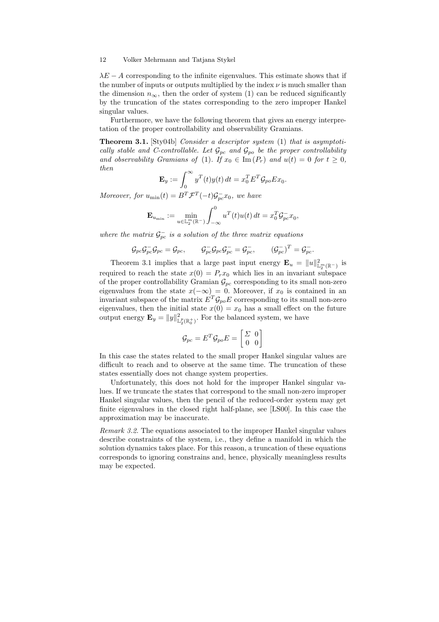$\lambda E - A$  corresponding to the infinite eigenvalues. This estimate shows that if the number of inputs or outputs multiplied by the index  $\nu$  is much smaller than the dimension  $n_{\infty}$ , then the order of system (1) can be reduced significantly by the truncation of the states corresponding to the zero improper Hankel singular values.

Furthermore, we have the following theorem that gives an energy interpretation of the proper controllability and observability Gramians.

Theorem 3.1. [Sty04b] Consider a descriptor system (1) that is asymptotically stable and C-controllable. Let  $\mathcal{G}_{pc}$  and  $\mathcal{G}_{po}$  be the proper controllability and observability Gramians of (1). If  $x_0 \in \text{Im}(P_r)$  and  $u(t) = 0$  for  $t \geq 0$ , then

$$
\mathbf{E}_y := \int_0^\infty y^T(t)y(t) dt = x_0^T E^T \mathcal{G}_{po} E x_0.
$$

Moreover, for  $u_{\min}(t) = B^T \mathcal{F}^T(-t) \mathcal{G}^-_{pc} x_0$ , we have

$$
\mathbf{E}_{u_{\min}} := \min_{u \in \mathbb{L}_2^m(\mathbb{R}^-)} \int_{-\infty}^0 u^T(t) u(t) dt = x_0^T \mathcal{G}_{pc}^- x_0,
$$

where the matrix  $\mathcal{G}_{pc}^-$  is a solution of the three matrix equations

$$
\mathcal{G}_{pc}\mathcal{G}_{pc}^{-}\mathcal{G}_{pc} = \mathcal{G}_{pc}, \qquad \mathcal{G}_{pc}^{-}\mathcal{G}_{pc}^{-}\mathcal{G}_{pc}^{-} = \mathcal{G}_{pc}^{-}, \qquad (\mathcal{G}_{pc}^{-})^{T} = \mathcal{G}_{pc}^{-}.
$$

Theorem 3.1 implies that a large past input energy  $\mathbf{E}_u = ||u||^2_{\mathbb{L}_2^m(\mathbb{R}^-)}$  is required to reach the state  $x(0) = P_r x_0$  which lies in an invariant subspace of the proper controllability Gramian  $\mathcal{G}_{pc}$  corresponding to its small non-zero eigenvalues from the state  $x(-\infty) = 0$ . Moreover, if  $x_0$  is contained in an invariant subspace of the matrix  $E^T \mathcal{G}_{po} E$  corresponding to its small non-zero eigenvalues, then the initial state  $x(0) = x_0$  has a small effect on the future output energy  $\mathbf{E}_y = ||y||^2_{\mathbb{L}_2^p(\mathbb{R}_0^+)}$ . For the balanced system, we have

$$
\mathcal{G}_{pc} = E^T \mathcal{G}_{po} E = \begin{bmatrix} \varSigma & 0 \\ 0 & 0 \end{bmatrix}
$$

In this case the states related to the small proper Hankel singular values are difficult to reach and to observe at the same time. The truncation of these states essentially does not change system properties.

Unfortunately, this does not hold for the improper Hankel singular values. If we truncate the states that correspond to the small non-zero improper Hankel singular values, then the pencil of the reduced-order system may get finite eigenvalues in the closed right half-plane, see [LS00]. In this case the approximation may be inaccurate.

Remark 3.2. The equations associated to the improper Hankel singular values describe constraints of the system, i.e., they define a manifold in which the solution dynamics takes place. For this reason, a truncation of these equations corresponds to ignoring constrains and, hence, physically meaningless results may be expected.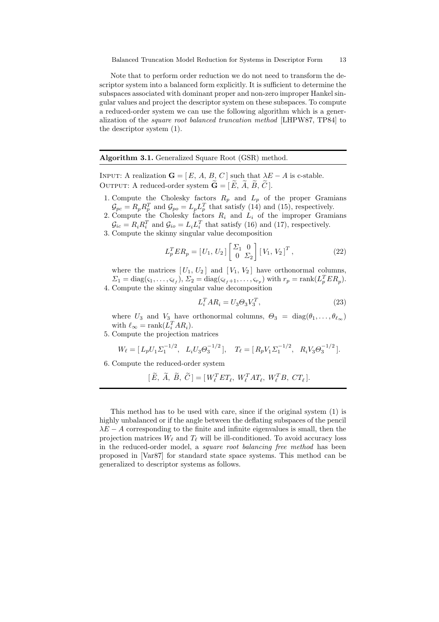Note that to perform order reduction we do not need to transform the descriptor system into a balanced form explicitly. It is sufficient to determine the subspaces associated with dominant proper and non-zero improper Hankel singular values and project the descriptor system on these subspaces. To compute a reduced-order system we can use the following algorithm which is a generalization of the square root balanced truncation method [LHPW87, TP84] to the descriptor system (1).

Algorithm 3.1. Generalized Square Root (GSR) method.

INPUT: A realization  $\mathbf{G} = [E, A, B, C]$  such that  $\lambda E - A$  is c-stable. OUTPUT: A reduced-order system  $\widetilde{\mathbf{G}} = [\widetilde{E}, \widetilde{A}, \widetilde{B}, \widetilde{C}].$ 

- 1. Compute the Cholesky factors  $R_p$  and  $L_p$  of the proper Gramians  $\mathcal{G}_{pc} = R_p R_p^T$  and  $\mathcal{G}_{po} = L_p L_p^T$  that satisfy (14) and (15), respectively.
- 2. Compute the Cholesky factors  $R_i$  and  $L_i$  of the improper Gramians  $\mathcal{G}_{ic} = R_i R_i^T$  and  $\mathcal{G}_{io} = L_i L_i^T$  that satisfy (16) and (17), respectively.
- 3. Compute the skinny singular value decomposition

$$
L_p^T ER_p = [U_1, U_2] \begin{bmatrix} \Sigma_1 & 0 \\ 0 & \Sigma_2 \end{bmatrix} [V_1, V_2]^T,
$$
 (22)

where the matrices  $[U_1, U_2]$  and  $[V_1, V_2]$  have orthonormal columns,  $\Sigma_1 = \text{diag}(\varsigma_1, \ldots, \varsigma_{\ell_f}), \Sigma_2 = \text{diag}(\varsigma_{\ell_f+1}, \ldots, \varsigma_{r_p})$  with  $r_p = \text{rank}(L_p^T E R_p).$ 4. Compute the skinny singular value decomposition

$$
L_i^T A R_i = U_3 \Theta_3 V_3^T,\tag{23}
$$

where  $U_3$  and  $V_3$  have orthonormal columns,  $\Theta_3 = \text{diag}(\theta_1, \dots, \theta_{\ell_\infty})$ with  $\ell_{\infty} = \text{rank}(L_i^T A R_i).$ 

5. Compute the projection matrices

$$
W_{\ell} = [L_p U_1 \Sigma_1^{-1/2}, \ L_i U_3 \Theta_3^{-1/2}], \quad T_{\ell} = [R_p V_1 \Sigma_1^{-1/2}, \ R_i V_3 \Theta_3^{-1/2}].
$$

6. Compute the reduced-order system

$$
[\widetilde{E}, \widetilde{A}, \widetilde{B}, \widetilde{C}] = [W_{\ell}^T E T_{\ell}, W_{\ell}^T A T_{\ell}, W_{\ell}^T B, C T_{\ell}].
$$

This method has to be used with care, since if the original system (1) is highly unbalanced or if the angle between the deflating subspaces of the pencil  $\lambda E - A$  corresponding to the finite and infinite eigenvalues is small, then the projection matrices  $W_\ell$  and  $T_\ell$  will be ill-conditioned. To avoid accuracy loss in the reduced-order model, a *square root balancing free method* has been proposed in [Var87] for standard state space systems. This method can be generalized to descriptor systems as follows.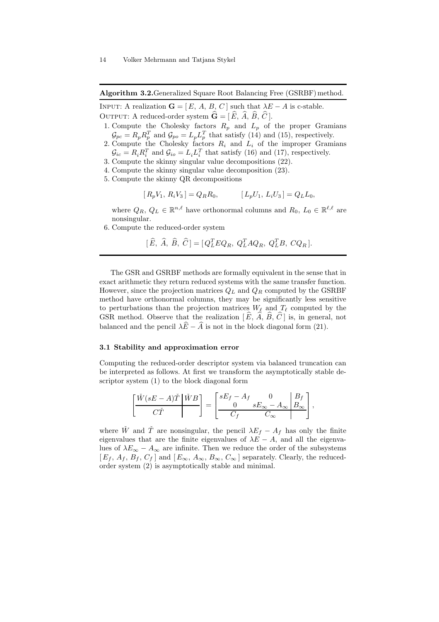Algorithm 3.2.Generalized Square Root Balancing Free (GSRBF) method.

INPUT: A realization  $\mathbf{G} = [E, A, B, C]$  such that  $\lambda E - A$  is c-stable. OUTPUT: A reduced-order system  $\hat{\mathbf{G}} = [\hat{E}, \hat{A}, \hat{B}, \hat{C}]$ .

- 1. Compute the Cholesky factors  $R_p$  and  $L_p$  of the proper Gramians  $\mathcal{G}_{pc} = R_p R_p^T$  and  $\mathcal{G}_{po} = L_p L_p^T$  that satisfy (14) and (15), respectively.
- 2. Compute the Cholesky factors  $R_i$  and  $L_i$  of the improper Gramians  $\mathcal{G}_{ic} = R_i R_i^T$  and  $\mathcal{G}_{io} = L_i L_i^T$  that satisfy (16) and (17), respectively.
- 3. Compute the skinny singular value decompositions (22).
- 4. Compute the skinny singular value decomposition (23).
- 5. Compute the skinny QR decompositions

$$
[R_pV_1, R_iV_3] = Q_RR_0, \qquad [L_pU_1, L_iU_3] = Q_LL_0,
$$

where  $Q_R, Q_L \in \mathbb{R}^{n,\ell}$  have orthonormal columns and  $R_0, L_0 \in \mathbb{R}^{\ell,\ell}$  are nonsingular.

6. Compute the reduced-order system

$$
[\hat{E}, \hat{A}, \hat{B}, \hat{C}] = [Q_L^T E Q_R, Q_L^T A Q_R, Q_L^T B, C Q_R].
$$

The GSR and GSRBF methods are formally equivalent in the sense that in exact arithmetic they return reduced systems with the same transfer function. However, since the projection matrices  $Q_L$  and  $Q_R$  computed by the GSRBF method have orthonormal columns, they may be significantly less sensitive to perturbations than the projection matrices  $W_\ell$  and  $T_\ell$  computed by the GSR method. Observe that the realization  $[E, \overline{A}, B, C]$  is, in general, not balanced and the pencil  $\lambda \widehat{E} - \widehat{A}$  is not in the block diagonal form (21).

# 3.1 Stability and approximation error

Computing the reduced-order descriptor system via balanced truncation can be interpreted as follows. At first we transform the asymptotically stable descriptor system (1) to the block diagonal form

$$
\left[\begin{array}{c|c}\tilde{W}(sE-A)\check{T} & \check{W}B \\ \hline C\check{T}\end{array}\right]=\left[\begin{array}{cc|c} sE_f-A_f & 0 & B_f \\ \hline 0 & sE_\infty-A_\infty & B_\infty \\ \hline C_f & C_\infty & \end{array}\right],
$$

where  $\check{W}$  and  $\check{T}$  are nonsingular, the pencil  $\lambda E_f - A_f$  has only the finite eigenvalues that are the finite eigenvalues of  $\lambda E - A$ , and all the eigenvalues of  $\lambda E_{\infty} - A_{\infty}$  are infinite. Then we reduce the order of the subsystems  $[E_f, A_f, B_f, C_f]$  and  $[E_\infty, A_\infty, B_\infty, C_\infty]$  separately. Clearly, the reducedorder system (2) is asymptotically stable and minimal.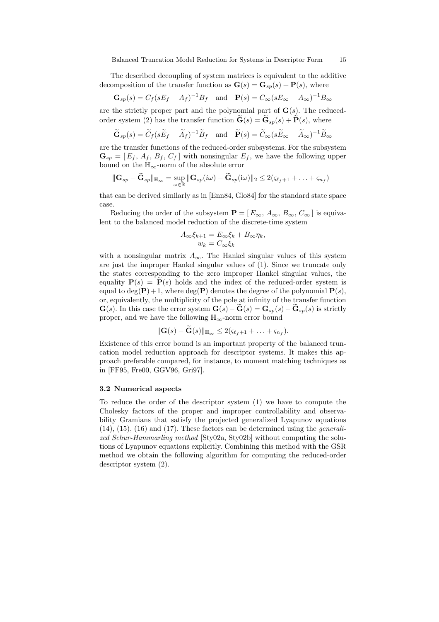The described decoupling of system matrices is equivalent to the additive decomposition of the transfer function as  $\mathbf{G}(s) = \mathbf{G}_{sp}(s) + \mathbf{P}(s)$ , where

$$
\mathbf{G}_{sp}(s) = C_f(sE_f - A_f)^{-1}B_f \quad \text{and} \quad \mathbf{P}(s) = C_{\infty}(sE_{\infty} - A_{\infty})^{-1}B_{\infty}
$$

are the strictly proper part and the polynomial part of  $\mathbf{G}(s)$ . The reducedorder system (2) has the transfer function  $\widetilde{\mathbf{G}}(s) = \widetilde{\mathbf{G}}_{sn}(s) + \widetilde{\mathbf{P}}(s)$ , where

$$
\widetilde{\mathbf{G}}_{sp}(s) = \widetilde{C}_f(s\widetilde{E}_f - \widetilde{A}_f)^{-1}\widetilde{B}_f \quad \text{and} \quad \widetilde{\mathbf{P}}(s) = \widetilde{C}_{\infty}(s\widetilde{E}_{\infty} - \widetilde{A}_{\infty})^{-1}\widetilde{B}_{\infty}
$$

are the transfer functions of the reduced-order subsystems. For the subsystem  $\mathbf{G}_{sp} = [E_f, A_f, B_f, C_f]$  with nonsingular  $E_f$ , we have the following upper bound on the  $\mathbb{H}_{\infty}\text{-norm}$  of the absolute error

$$
\|\mathbf{G}_{sp} - \widetilde{\mathbf{G}}_{sp}\|_{\mathbb{H}_{\infty}} = \sup_{\omega \in \mathbb{R}} \|\mathbf{G}_{sp}(i\omega) - \widetilde{\mathbf{G}}_{sp}(i\omega)\|_{2} \leq 2(\varsigma_{\ell_f+1} + \ldots + \varsigma_{n_f})
$$

that can be derived similarly as in [Enn84, Glo84] for the standard state space case.

Reducing the order of the subsystem  $\mathbf{P} = [E_{\infty}, A_{\infty}, B_{\infty}, C_{\infty}]$  is equivalent to the balanced model reduction of the discrete-time system

$$
A_{\infty} \xi_{k+1} = E_{\infty} \xi_k + B_{\infty} \eta_k,
$$
  

$$
w_k = C_{\infty} \xi_k
$$

with a nonsingular matrix  $A_{\infty}$ . The Hankel singular values of this system are just the improper Hankel singular values of (1). Since we truncate only the states corresponding to the zero improper Hankel singular values, the equality  $P(s) = P(s)$  holds and the index of the reduced-order system is equal to  $deg(\mathbf{P})+1$ , where  $deg(\mathbf{P})$  denotes the degree of the polynomial  $\mathbf{P}(s)$ , or, equivalently, the multiplicity of the pole at infinity of the transfer function  $\mathbf{G}(s)$ . In this case the error system  $\mathbf{G}(s) - \mathbf{G}(s) = \mathbf{G}_{sp}(s) - \mathbf{G}_{sp}(s)$  is strictly proper, and we have the following  $\mathbb{H}_{\infty}$ -norm error bound

$$
\|\mathbf{G}(s)-\mathbf{G}(s)\|_{\mathbb{H}_{\infty}}\leq 2(\varsigma_{\ell_f+1}+\ldots+\varsigma_{n_f}).
$$

Existence of this error bound is an important property of the balanced truncation model reduction approach for descriptor systems. It makes this approach preferable compared, for instance, to moment matching techniques as in [FF95, Fre00, GGV96, Gri97].

#### 3.2 Numerical aspects

To reduce the order of the descriptor system (1) we have to compute the Cholesky factors of the proper and improper controllability and observability Gramians that satisfy the projected generalized Lyapunov equations  $(14)$ ,  $(15)$ ,  $(16)$  and  $(17)$ . These factors can be determined using the *generali*zed Schur-Hammarling method [Sty02a, Sty02b] without computing the solutions of Lyapunov equations explicitly. Combining this method with the GSR method we obtain the following algorithm for computing the reduced-order descriptor system (2).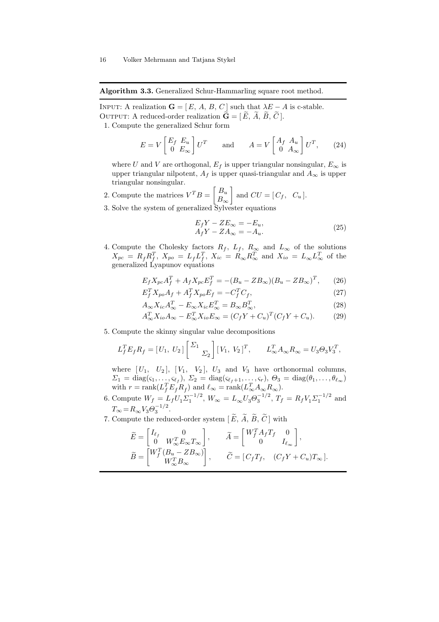Algorithm 3.3. Generalized Schur-Hammarling square root method.

INPUT: A realization  $\mathbf{G} = [E, A, B, C]$  such that  $\lambda E - A$  is c-stable. OUTPUT: A reduced-order realization  $\mathbf{G} = [\tilde{E}, \tilde{A}, \tilde{B}, \tilde{C}].$ 1. Compute the generalized Schur form

$$
E = V \begin{bmatrix} E_f & E_u \\ 0 & E_\infty \end{bmatrix} U^T \qquad \text{and} \qquad A = V \begin{bmatrix} A_f & A_u \\ 0 & A_\infty \end{bmatrix} U^T, \tag{24}
$$

where U and V are orthogonal,  $E_f$  is upper triangular nonsingular,  $E_\infty$  is upper triangular nilpotent,  $A_f$  is upper quasi-triangular and  $A_\infty$  is upper triangular nonsingular.

- 2. Compute the matrices  $V^T B = \begin{bmatrix} B_u \\ B_u \end{bmatrix}$  $B_{\infty}$ 1 and  $CU = [C_f, C_u].$
- 3. Solve the system of generalized Sylvester equations

$$
E_f Y - Z E_{\infty} = -E_u,
$$
  
\n
$$
A_f Y - Z A_{\infty} = -A_u.
$$
\n(25)

4. Compute the Cholesky factors  $R_f$ ,  $L_f$ ,  $R_\infty$  and  $L_\infty$  of the solutions  $X_{pc} = R_f R_f^T$ ,  $X_{po} = L_f L_f^T$ ,  $X_{ic} = R_\infty R_\infty^T$  and  $X_{io} = L_\infty L_\infty^T$  of the generalized Lyapunov equations

$$
E_f X_{pc} A_f^T + A_f X_{pc} E_f^T = -(B_u - Z B_\infty)(B_u - Z B_\infty)^T, \qquad (26)
$$

$$
E_f^T X_{po} A_f + A_f^T X_{po} E_f = -C_f^T C_f, \qquad (27)
$$

$$
A_{\infty} X_{ic} A_{\infty}^T - E_{\infty} X_{ic} E_{\infty}^T = B_{\infty} B_{\infty}^T,
$$
\n(28)

$$
A_{\infty}^T X_{io} A_{\infty} - E_{\infty}^T X_{io} E_{\infty} = (C_f Y + C_u)^T (C_f Y + C_u). \tag{29}
$$

5. Compute the skinny singular value decompositions

$$
L_f^T E_f R_f = [U_1, U_2] \begin{bmatrix} \Sigma_1 \\ \Sigma_2 \end{bmatrix} [V_1, V_2]^T, \qquad L_\infty^T A_\infty R_\infty = U_3 \Theta_3 V_3^T,
$$

where  $[U_1, U_2]$ ,  $[V_1, V_2]$ ,  $U_3$  and  $V_3$  have orthonormal columns,  $\Sigma_1 = \text{diag}(\varsigma_1, \ldots, \varsigma_{\ell_f}), \ \Sigma_2 = \text{diag}(\varsigma_{\ell_f+1}, \ldots, \varsigma_r), \ \Theta_3 = \text{diag}(\theta_1, \ldots, \theta_{\ell_{\infty}})$ with  $r = \text{rank}(L_f^T E_f R_f)$  and  $\ell_{\infty} = \text{rank}(L_{\infty}^T A_{\infty} R_{\infty}).$ 

- 6. Compute  $W_f = L_f U_1 \Sigma_1^{-1/2}$ ,  $W_{\infty} = L_{\infty} U_3 \Theta_3^{-1/2}$ ,  $T_f = R_f V_1 \Sigma_1^{-1/2}$  and  $T_{\infty} = R_{\infty} V_3 \Theta_3^{-1/2}.$
- 7. Compute the reduced-order system  $[\, \widetilde{E},\, \widetilde{A},\, \widetilde{B},\, \widetilde{C}\,]$  with

$$
\begin{aligned} \widetilde{E} &= \begin{bmatrix} I_{\ell_f} & 0 \\ 0 & W_{\infty}^T E_{\infty} T_{\infty} \end{bmatrix}, & \widetilde{A} &= \begin{bmatrix} W_f^T A_f T_f & 0 \\ 0 & I_{\ell_{\infty}} \end{bmatrix}, \\ \widetilde{B} &= \begin{bmatrix} W_f^T (B_u - Z B_{\infty}) \\ W_{\infty}^T B_{\infty} \end{bmatrix}, & \widetilde{C} &= [C_f T_f, & (C_f Y + C_u) T_{\infty}]. \end{aligned}
$$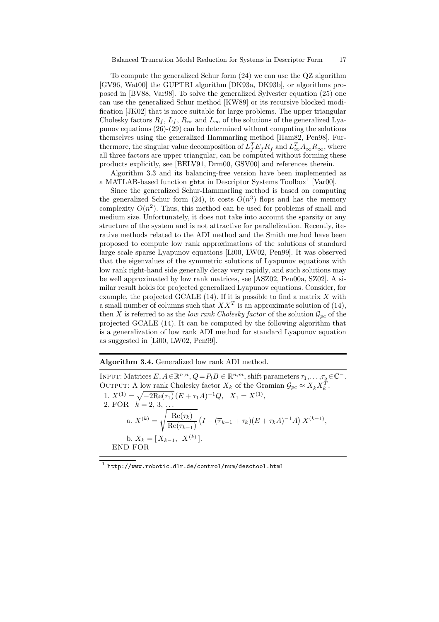To compute the generalized Schur form (24) we can use the QZ algorithm [GV96, Wat00] the GUPTRI algorithm [DK93a, DK93b], or algorithms proposed in [BV88, Var98]. To solve the generalized Sylvester equation (25) one can use the generalized Schur method [KW89] or its recursive blocked modification [JK02] that is more suitable for large problems. The upper triangular Cholesky factors  $R_f$ ,  $L_f$ ,  $R_\infty$  and  $L_\infty$  of the solutions of the generalized Lyapunov equations (26)-(29) can be determined without computing the solutions themselves using the generalized Hammarling method [Ham82, Pen98]. Furthermore, the singular value decomposition of  $L_f^T E_f R_f$  and  $L_\infty^T A_\infty R_\infty$ , where all three factors are upper triangular, can be computed without forming these products explicitly, see [BELV91, Drm00, GSV00] and references therein.

Algorithm 3.3 and its balancing-free version have been implemented as a MATLAB-based function gbta in Descriptor Systems Toolbox 1 [Var00].

Since the generalized Schur-Hammarling method is based on computing the generalized Schur form (24), it costs  $O(n^3)$  flops and has the memory complexity  $O(n^2)$ . Thus, this method can be used for problems of small and medium size. Unfortunately, it does not take into account the sparsity or any structure of the system and is not attractive for parallelization. Recently, iterative methods related to the ADI method and the Smith method have been proposed to compute low rank approximations of the solutions of standard large scale sparse Lyapunov equations [Li00, LW02, Pen99]. It was observed that the eigenvalues of the symmetric solutions of Lyapunov equations with low rank right-hand side generally decay very rapidly, and such solutions may be well approximated by low rank matrices, see [ASZ02, Pen00a, SZ02]. A similar result holds for projected generalized Lyapunov equations. Consider, for example, the projected GCALE  $(14)$ . If it is possible to find a matrix X with a small number of columns such that  $XX<sup>T</sup>$  is an approximate solution of (14), then X is referred to as the low rank Cholesky factor of the solution  $\mathcal{G}_{pc}$  of the projected GCALE (14). It can be computed by the following algorithm that is a generalization of low rank ADI method for standard Lyapunov equation as suggested in [Li00, LW02, Pen99].

Algorithm 3.4. Generalized low rank ADI method.

INPUT: Matrices  $E, A \in \mathbb{R}^{n,n}, Q = P_l B \in \mathbb{R}^{n,m}$ , shift parameters  $\tau_1, \ldots, \tau_q \in \mathbb{C}^-$ . OUTPUT: A low rank Cholesky factor  $X_k$  of the Gramian  $\mathcal{G}_{pc} \approx X_k X_k^{\hat{T}}$ . 1.  $X^{(1)} = \sqrt{-2\text{Re}(\tau_1)} (E + \tau_1 A)^{-1} Q$ ,  $X_1 = X^{(1)}$ , 2. FOR  $k = 2, 3, ...$ a.  $X^{(k)} =$  $\sqrt{\operatorname{Re}(\tau_k)}$  $\mathrm{Re}(\tau_{k-1})$  $(I - (\overline{\tau}_{k-1} + \tau_k)(E + \tau_k A)^{-1}A) X^{(k-1)},$ b.  $X_k = [X_{k-1}, X^{(k)}].$ END FOR

 $^{\rm 1}$  http://www.robotic.dlr.de/control/num/desctool.html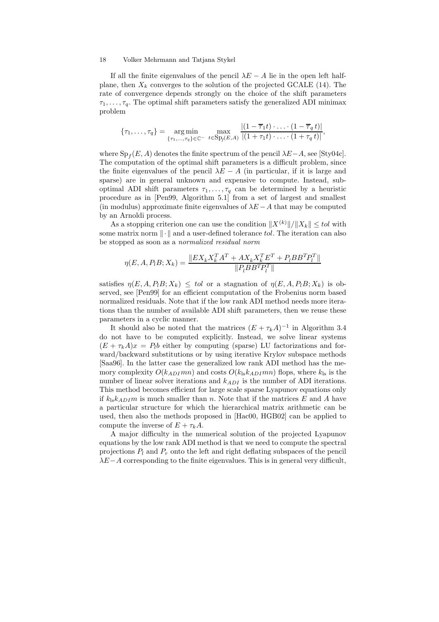If all the finite eigenvalues of the pencil  $\lambda E - A$  lie in the open left halfplane, then  $X_k$  converges to the solution of the projected GCALE (14). The rate of convergence depends strongly on the choice of the shift parameters  $\tau_1, \ldots, \tau_q$ . The optimal shift parameters satisfy the generalized ADI minimax problem

$$
\{\tau_1,\ldots,\tau_q\}=\underset{\{\tau_1,\ldots,\tau_q\}\in\mathbb{C}^-}{\arg\min}\ \underset{t\in\mathrm{Sp}_f(E,A)}{\max}\ \frac{|(1-\overline{\tau}_1t)\cdot\ldots\cdot(1-\overline{\tau}_q\,t)|}{|(1+\tau_1t)\cdot\ldots\cdot(1+\tau_q\,t)|},
$$

where  $\text{Sp}_f(E, A)$  denotes the finite spectrum of the pencil  $\lambda E-A$ , see [Sty04c]. The computation of the optimal shift parameters is a difficult problem, since the finite eigenvalues of the pencil  $\lambda E - A$  (in particular, if it is large and sparse) are in general unknown and expensive to compute. Instead, suboptimal ADI shift parameters  $\tau_1, \ldots, \tau_q$  can be determined by a heuristic procedure as in [Pen99, Algorithm 5.1] from a set of largest and smallest (in modulus) approximate finite eigenvalues of  $\lambda E - A$  that may be computed by an Arnoldi process.

As a stopping criterion one can use the condition  $||X^{(k)}||/||X_k|| \leq tol$  with some matrix norm  $\|\cdot\|$  and a user-defined tolerance tol. The iteration can also be stopped as soon as a normalized residual norm

$$
\eta(E, A, P_t B; X_k) = \frac{\|EX_k X_k^T A^T + AX_k X_k^T E^T + P_t B B^T P_l^T\|}{\|P_t B B^T P_l^T\|}
$$

satisfies  $\eta(E, A, P_t B; X_k) \leq tol$  or a stagnation of  $\eta(E, A, P_t B; X_k)$  is observed, see [Pen99] for an efficient computation of the Frobenius norm based normalized residuals. Note that if the low rank ADI method needs more iterations than the number of available ADI shift parameters, then we reuse these parameters in a cyclic manner.

It should also be noted that the matrices  $(E + \tau_k A)^{-1}$  in Algorithm 3.4 do not have to be computed explicitly. Instead, we solve linear systems  $(E + \tau_k A)x = P_l b$  either by computing (sparse) LU factorizations and forward/backward substitutions or by using iterative Krylov subspace methods [Saa96]. In the latter case the generalized low rank ADI method has the memory complexity  $O(k_{ADI}mn)$  and costs  $O(k_{ls}k_{ADI}mn)$  flops, where  $k_{ls}$  is the number of linear solver iterations and  $k_{ADI}$  is the number of ADI iterations. This method becomes efficient for large scale sparse Lyapunov equations only if  $k_{\text{ls}}k_{ADI}m$  is much smaller than n. Note that if the matrices E and A have a particular structure for which the hierarchical matrix arithmetic can be used, then also the methods proposed in [Hac00, HGB02] can be applied to compute the inverse of  $E + \tau_k A$ .

A major difficulty in the numerical solution of the projected Lyapunov equations by the low rank ADI method is that we need to compute the spectral projections  $P_l$  and  $P_r$  onto the left and right deflating subspaces of the pencil  $\lambda E-A$  corresponding to the finite eigenvalues. This is in general very difficult,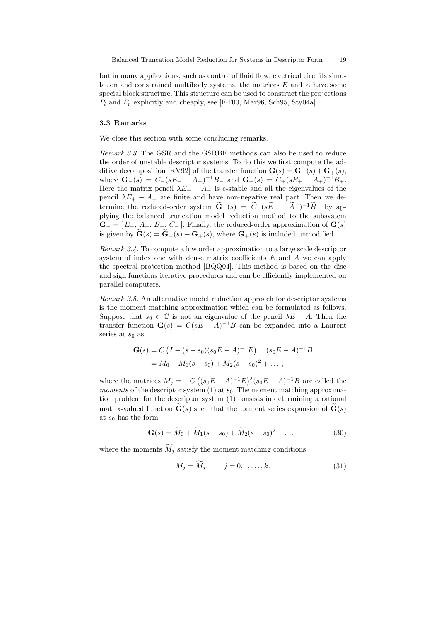but in many applications, such as control of fluid flow, electrical circuits simulation and constrained multibody systems, the matrices  $E$  and  $A$  have some special block structure. This structure can be used to construct the projections  $P_l$  and  $P_r$  explicitly and cheaply, see [ET00, Mar96, Sch95, Sty04a].

# 3.3 Remarks

We close this section with some concluding remarks.

Remark 3.3. The GSR and the GSRBF methods can also be used to reduce the order of unstable descriptor systems. To do this we first compute the additive decomposition [KV92] of the transfer function  $\mathbf{G}(s) = \mathbf{G}_-(s) + \mathbf{G}_+(s)$ , where  $\mathbf{G}_{-}(s) = C_{-}(sE_{-} - A_{-})^{-1}B_{-}$  and  $\mathbf{G}_{+}(s) = C_{+}(sE_{+} - A_{+})^{-1}B_{+}$ . Here the matrix pencil  $\lambda E_$  –  $A_$  is c-stable and all the eigenvalues of the pencil  $\lambda E_+ - A_+$  are finite and have non-negative real part. Then we determine the reduced-order system  $\mathbf{G}_{-}(s) = C_{-}(sE_{-} - A_{-})^{-1}B_{-}$  by applying the balanced truncation model reduction method to the subsystem  $\mathbf{G}_{-} = [E_{-}, A_{-}, B_{-}, C_{-}]$ . Finally, the reduced-order approximation of  $\mathbf{G}(s)$ is given by  $\mathbf{G}(s) = \mathbf{G}_{-}(s) + \mathbf{G}_{+}(s)$ , where  $\mathbf{G}_{+}(s)$  is included unmodified.

Remark 3.4. To compute a low order approximation to a large scale descriptor system of index one with dense matrix coefficients  $E$  and  $A$  we can apply the spectral projection method [BQQ04]. This method is based on the disc and sign functions iterative procedures and can be efficiently implemented on parallel computers.

Remark 3.5. An alternative model reduction approach for descriptor systems is the moment matching approximation which can be formulated as follows. Suppose that  $s_0 \in \mathbb{C}$  is not an eigenvalue of the pencil  $\lambda E - A$ . Then the transfer function  $\mathbf{G}(s) = C(sE - A)^{-1}B$  can be expanded into a Laurent series at  $s_0$  as

$$
\mathbf{G}(s) = C \left( I - (s - s_0)(s_0 E - A)^{-1} E \right)^{-1} (s_0 E - A)^{-1} B
$$
  
=  $M_0 + M_1 (s - s_0) + M_2 (s - s_0)^2 + \dots$ ,

where the matrices  $M_j = -C((s_0E - A)^{-1}E)^j(s_0E - A)^{-1}B$  are called the moments of the descriptor system (1) at  $s_0$ . The moment matching approximation problem for the descriptor system (1) consists in determining a rational matrix-valued function  $\mathbf{G}(s)$  such that the Laurent series expansion of  $\mathbf{G}(s)$ at  $s_0$  has the form

$$
\widetilde{\mathbf{G}}(s) = \widetilde{M}_0 + \widetilde{M}_1(s - s_0) + \widetilde{M}_2(s - s_0)^2 + \dots, \tag{30}
$$

where the moments  $\widetilde{M}_i$  satisfy the moment matching conditions

$$
M_j = M_j, \t j = 0, 1, ..., k.
$$
\t(31)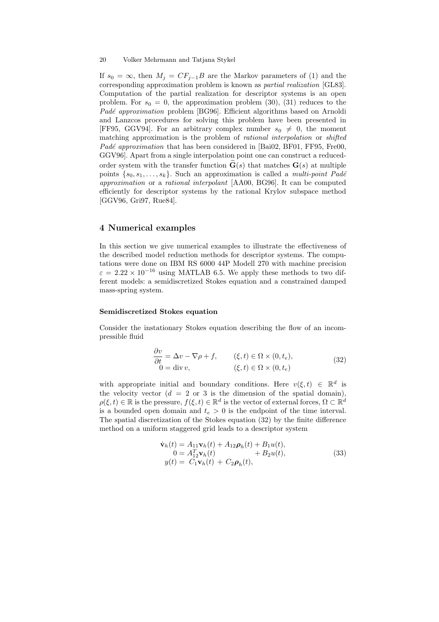If  $s_0 = \infty$ , then  $M_j = CF_{j-1}B$  are the Markov parameters of (1) and the corresponding approximation problem is known as partial realization [GL83]. Computation of the partial realization for descriptor systems is an open problem. For  $s_0 = 0$ , the approximation problem (30), (31) reduces to the Padé approximation problem [BG96]. Efficient algorithms based on Arnoldi and Lanzcos procedures for solving this problem have been presented in [FF95, GGV94]. For an arbitrary complex number  $s_0 \neq 0$ , the moment matching approximation is the problem of *rational interpolation* or *shifted Padé approximation* that has been considered in [Bai02, BF01, FF95, Fre00, GGV96]. Apart from a single interpolation point one can construct a reducedorder system with the transfer function  $\tilde{\mathbf{G}}(s)$  that matches  $\mathbf{G}(s)$  at multiple points  $\{s_0, s_1, \ldots, s_k\}$ . Such an approximation is called a *multi-point Padé* approximation or a rational interpolant [AA00, BG96]. It can be computed efficiently for descriptor systems by the rational Krylov subspace method [GGV96, Gri97, Rue84].

# 4 Numerical examples

In this section we give numerical examples to illustrate the effectiveness of the described model reduction methods for descriptor systems. The computations were done on IBM RS 6000 44P Modell 270 with machine precision  $\varepsilon = 2.22 \times 10^{-16}$  using MATLAB 6.5. We apply these methods to two different models: a semidiscretized Stokes equation and a constrained damped mass-spring system.

# Semidiscretized Stokes equation

Consider the instationary Stokes equation describing the flow of an incompressible fluid

$$
\frac{\partial v}{\partial t} = \Delta v - \nabla \rho + f, \qquad (\xi, t) \in \Omega \times (0, t_e),
$$
  
\n
$$
0 = \text{div} \, v, \qquad (\xi, t) \in \Omega \times (0, t_e)
$$
\n(32)

with appropriate initial and boundary conditions. Here  $v(\xi, t) \in \mathbb{R}^d$  is the velocity vector  $(d = 2 \text{ or } 3 \text{ is the dimension of the spatial domain}),$  $\rho(\xi, t) \in \mathbb{R}$  is the pressure,  $f(\xi, t) \in \mathbb{R}^d$  is the vector of external forces,  $\Omega \subset \mathbb{R}^d$ is a bounded open domain and  $t_e > 0$  is the endpoint of the time interval. The spatial discretization of the Stokes equation (32) by the finite difference method on a uniform staggered grid leads to a descriptor system

$$
\dot{\mathbf{v}}_h(t) = A_{11}\mathbf{v}_h(t) + A_{12}\boldsymbol{\rho}_h(t) + B_1u(t),
$$
  
\n
$$
0 = A_{12}^T\mathbf{v}_h(t) + B_2u(t),
$$
  
\n
$$
y(t) = C_1\mathbf{v}_h(t) + C_2\boldsymbol{\rho}_h(t),
$$
\n(33)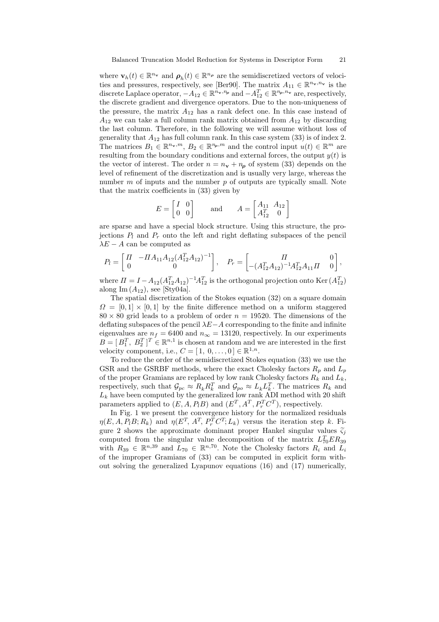where  $\mathbf{v}_h(t) \in \mathbb{R}^{n_{\mathbf{v}}}$  and  $\rho_h(t) \in \mathbb{R}^{n_{\rho}}$  are the semidiscretized vectors of velocities and pressures, respectively, see [Ber90]. The matrix  $A_{11} \in \mathbb{R}^{n_v, n_v}$  is the discrete Laplace operator,  $-A_{12} \in \mathbb{R}^{n_v, n_p}$  and  $-A_{12}^T \in \mathbb{R}^{n_p, n_v}$  are, respectively, the discrete gradient and divergence operators. Due to the non-uniqueness of the pressure, the matrix  $A_{12}$  has a rank defect one. In this case instead of  $A_{12}$  we can take a full column rank matrix obtained from  $A_{12}$  by discarding the last column. Therefore, in the following we will assume without loss of generality that  $A_{12}$  has full column rank. In this case system (33) is of index 2. The matrices  $B_1 \in \mathbb{R}^{n_v,m}$ ,  $B_2 \in \mathbb{R}^{n_p,m}$  and the control input  $u(t) \in \mathbb{R}^m$  are resulting from the boundary conditions and external forces, the output  $y(t)$  is the vector of interest. The order  $n = n_{\mathbf{v}} + n_{\rho}$  of system (33) depends on the level of refinement of the discretization and is usually very large, whereas the number  $m$  of inputs and the number  $p$  of outputs are typically small. Note that the matrix coefficients in (33) given by

$$
E = \begin{bmatrix} I & 0 \\ 0 & 0 \end{bmatrix} \quad \text{and} \quad A = \begin{bmatrix} A_{11} & A_{12} \\ A_{12}^T & 0 \end{bmatrix}
$$

are sparse and have a special block structure. Using this structure, the projections  $P_l$  and  $P_r$  onto the left and right deflating subspaces of the pencil  $\lambda E - A$  can be computed as

$$
P_l = \begin{bmatrix} \Pi & -\Pi A_{11} A_{12} (A_{12}^T A_{12})^{-1} \\ 0 & 0 \end{bmatrix}, \quad P_r = \begin{bmatrix} \Pi & 0 \\ -(A_{12}^T A_{12})^{-1} A_{12}^T A_{11} \Pi & 0 \end{bmatrix},
$$

where  $\Pi = I - A_{12}(A_{12}^T A_{12})^{-1} A_{12}^T$  is the orthogonal projection onto Ker $(A_{12}^T)$ along Im  $(A_{12})$ , see [Sty04a].

The spatial discretization of the Stokes equation (32) on a square domain  $\Omega = [0, 1] \times [0, 1]$  by the finite difference method on a uniform staggered  $80 \times 80$  grid leads to a problem of order  $n = 19520$ . The dimensions of the deflating subspaces of the pencil  $\lambda E-A$  corresponding to the finite and infinite eigenvalues are  $n_f = 6400$  and  $n_\infty = 13120$ , respectively. In our experiments  $B = [B_1^T, B_2^T]^T \in \mathbb{R}^{n,1}$  is chosen at random and we are interested in the first velocity component, i.e.,  $C = [1, 0, \ldots, 0] \in \mathbb{R}^{1,n}$ .

To reduce the order of the semidiscretized Stokes equation (33) we use the GSR and the GSRBF methods, where the exact Cholesky factors  $R_p$  and  $L_p$ of the proper Gramians are replaced by low rank Cholesky factors  $R_k$  and  $L_k$ , respectively, such that  $\mathcal{G}_{pc} \approx R_k R_k^T$  and  $\mathcal{G}_{po} \approx L_k L_k^T$ . The matrices  $R_k$  and  $L_k$  have been computed by the generalized low rank ADI method with 20 shift parameters applied to  $(E, A, P_lB)$  and  $(E^T, A^T, P_r^T C^T)$ , respectively.

In Fig. 1 we present the convergence history for the normalized residuals  $\eta(E, A, P_l B; R_k)$  and  $\eta(E^T, A^T, P_r^T C^T; L_k)$  versus the iteration step k. Figure 2 shows the approximate dominant proper Hankel singular values  $\tilde{\varsigma}_i$ computed from the singular value decomposition of the matrix  $L_{70}^{T}ER_{39}$ with  $R_{39} \in \mathbb{R}^{n,39}$  and  $L_{70} \in \mathbb{R}^{n,70}$ . Note the Cholesky factors  $R_i$  and  $L_i$ of the improper Gramians of (33) can be computed in explicit form without solving the generalized Lyapunov equations (16) and (17) numerically,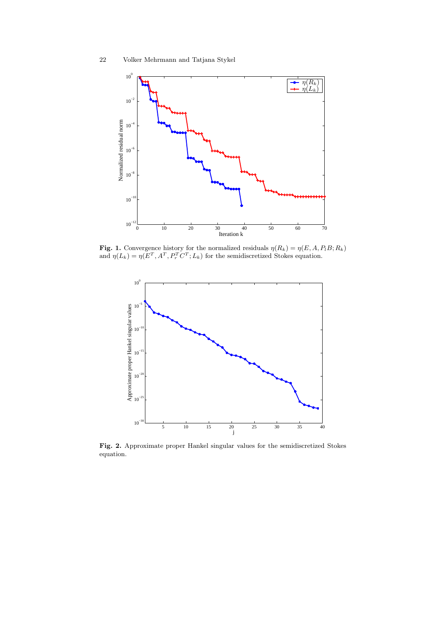

**Fig. 1.** Convergence history for the normalized residuals  $\eta(R_k) = \eta(E, A, P_l B; R_k)$ and  $\eta(L_k) = \eta(E^T, A^T, P_r^T C^T; L_k)$  for the semidiscretized Stokes equation.



Fig. 2. Approximate proper Hankel singular values for the semidiscretized Stokes equation.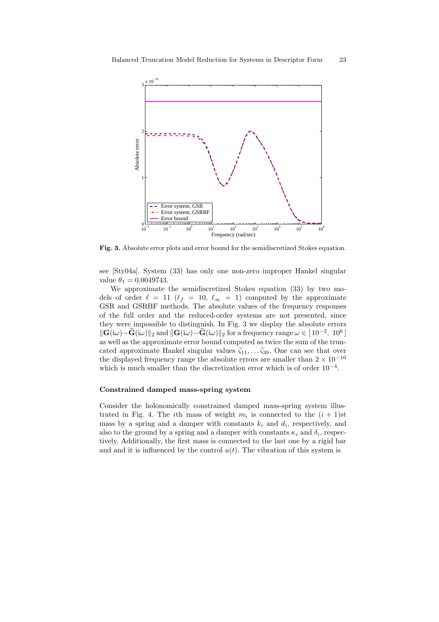

Fig. 3. Absolute error plots and error bound for the semidiscretized Stokes equation.

see [Sty04a]. System (33) has only one non-zero improper Hankel singular value  $\theta_1 = 0.0049743$ .

We approximate the semidiscretized Stokes equation (33) by two models of order  $\ell = 11$  ( $\ell_f = 10, \ell_\infty = 1$ ) computed by the approximate GSR and GSRBF methods. The absolute values of the frequency responses of the full order and the reduced-order systems are not presented, since they were impossible to distinguish. In Fig. 3 we display the absolute errors  $\|\mathbf{G}(i\omega)-\mathbf{G}(i\omega)\|_2$  and  $\|\mathbf{G}(i\omega)-\mathbf{G}(i\omega)\|_2$  for a frequency range  $\omega \in [10^{-2}, 10^6]$ as well as the approximate error bound computed as twice the sum of the truncated approximate Hankel singular values  $\tilde{\zeta}_{11}, \ldots, \tilde{\zeta}_{39}$ . One can see that over the displayed frequency range the absolute errors are smaller than  $2 \times 10^{-10}$ which is much smaller than the discretization error which is of order  $10^{-4}$ .

# Constrained damped mass-spring system

Consider the holonomically constrained damped mass-spring system illustrated in Fig. 4. The *i*<sup>th</sup> mass of weight  $m_i$  is connected to the  $(i + 1)$ st mass by a spring and a damper with constants  $k_i$  and  $d_i$ , respectively, and also to the ground by a spring and a damper with constants  $\kappa_i$  and  $\delta_i$ , respectively. Additionally, the first mass is connected to the last one by a rigid bar and and it is influenced by the control  $u(t)$ . The vibration of this system is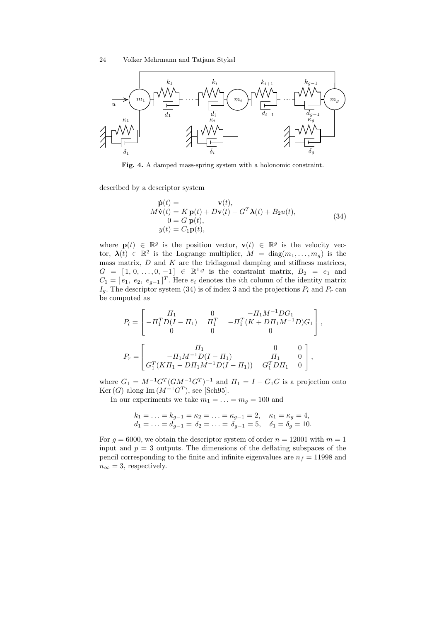

PSfrag replacements



Fig. 4. A damped mass-spring system with a holonomic constraint.

described by a descriptor system

$$
\dot{\mathbf{p}}(t) = \mathbf{v}(t),\nM\dot{\mathbf{v}}(t) = K \mathbf{p}(t) + D\mathbf{v}(t) - G^T \mathbf{\lambda}(t) + B_2 u(t),\n0 = G \mathbf{p}(t),\ny(t) = C_1 \mathbf{p}(t),
$$
\n(34)

where  $\mathbf{p}(t) \in \mathbb{R}^g$  is the position vector,  $\mathbf{v}(t) \in \mathbb{R}^g$  is the velocity vector,  $\lambda(t) \in \mathbb{R}^2$  is the Lagrange multiplier,  $M = \text{diag}(m_1, \ldots, m_g)$  is the mass matrix,  $D$  and  $K$  are the tridiagonal damping and stiffness matrices,  $G = [1, 0, ..., 0, -1] \in \mathbb{R}^{1,g}$  is the constraint matrix,  $B_2 = e_1$  and  $C_1 = [e_1, e_2, e_{g-1}]^T$ . Here  $e_i$  denotes the *i*th column of the identity matrix  $I_g$ . The descriptor system (34) is of index 3 and the projections  $P_l$  and  $P_r$  can be computed as

$$
P_l = \begin{bmatrix} \Pi_1 & 0 & -\Pi_1 M^{-1} D G_1 \\ -\Pi_1^T D (I - \Pi_1) & \Pi_1^T & -\Pi_1^T (K + D \Pi_1 M^{-1} D) G_1 \\ 0 & 0 & 0 \end{bmatrix},
$$
  
\n
$$
P_r = \begin{bmatrix} \Pi_1 & 0 & 0 \\ -\Pi_1 M^{-1} D (I - \Pi_1) & \Pi_1 & 0 \\ G_1^T (K \Pi_1 - D \Pi_1 M^{-1} D (I - \Pi_1)) & G_1^T D \Pi_1 & 0 \end{bmatrix},
$$

where  $G_1 = M^{-1}G^T(GM^{-1}G^T)^{-1}$  and  $\Pi_1 = I - G_1G$  is a projection onto Ker(G) along Im  $(M^{-1}G^T)$ , see [Sch95].

In our experiments we take  $m_1 = \ldots = m_q = 100$  and

$$
k_1 = \dots = k_{g-1} = \kappa_2 = \dots = \kappa_{g-1} = 2, \quad \kappa_1 = \kappa_g = 4, d_1 = \dots = d_{g-1} = \delta_2 = \dots = \delta_{g-1} = 5, \quad \delta_1 = \delta_g = 10.
$$

For  $g = 6000$ , we obtain the descriptor system of order  $n = 12001$  with  $m = 1$ input and  $p = 3$  outputs. The dimensions of the deflating subspaces of the pencil corresponding to the finite and infinite eigenvalues are  $n_f = 11998$  and  $n_{\infty} = 3$ , respectively.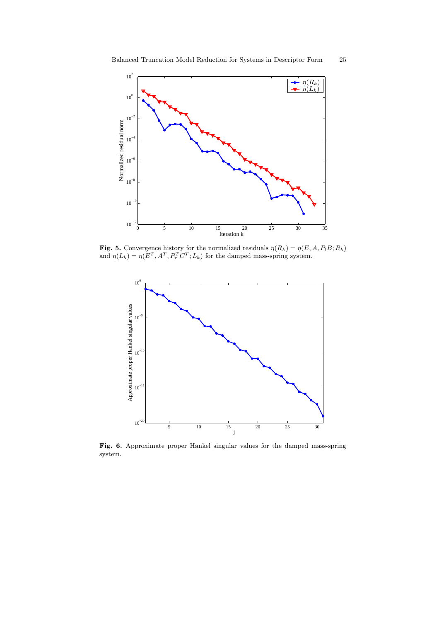

**Fig. 5.** Convergence history for the normalized residuals  $\eta(R_k) = \eta(E, A, P_l B; R_k)$ and  $\eta(L_k) = \eta(E^T, A^T, P_r^T C^T; L_k)$  for the damped mass-spring system.



Fig. 6. Approximate proper Hankel singular values for the damped mass-spring system.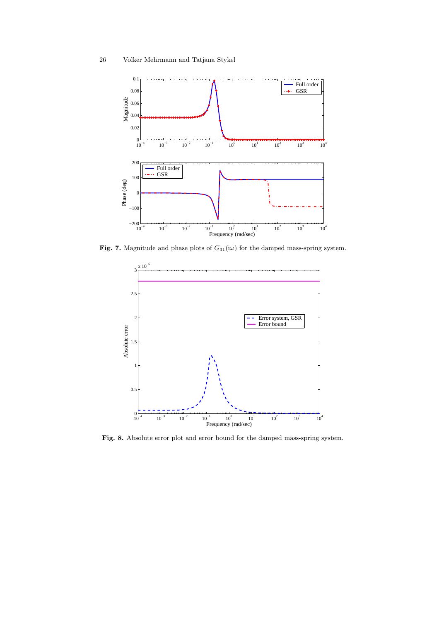

Fig. 7. Magnitude and phase plots of  $G_{31}(i\omega)$  for the damped mass-spring system.



Fig. 8. Absolute error plot and error bound for the damped mass-spring system.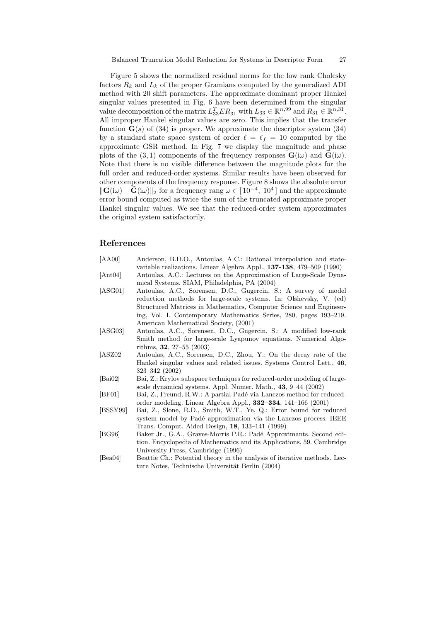Figure 5 shows the normalized residual norms for the low rank Cholesky factors  $R_k$  and  $L_k$  of the proper Gramians computed by the generalized ADI method with 20 shift parameters. The approximate dominant proper Hankel singular values presented in Fig. 6 have been determined from the singular value decomposition of the matrix  $L_{33}^T ER_{31}$  with  $L_{33} \in \mathbb{R}^{n,99}$  and  $R_{31} \in \mathbb{R}^{n,31}$ . All improper Hankel singular values are zero. This implies that the transfer function  $\mathbf{G}(s)$  of (34) is proper. We approximate the descriptor system (34) by a standard state space system of order  $\ell = \ell_f = 10$  computed by the approximate GSR method. In Fig. 7 we display the magnitude and phase plots of the (3, 1) components of the frequency responses  $\mathbf{G}(\mathrm{i}\omega)$  and  $\mathbf{G}(\mathrm{i}\omega)$ . Note that there is no visible difference between the magnitude plots for the full order and reduced-order systems. Similar results have been observed for other components of the frequency response. Figure 8 shows the absolute error  $\|\mathbf{G}(i\omega) - \tilde{\mathbf{G}}(i\omega)\|_2$  for a frequency rang  $\omega \in [10^{-4}, 10^4]$  and the approximate error bound computed as twice the sum of the truncated approximate proper Hankel singular values. We see that the reduced-order system approximates the original system satisfactorily.

# References

| [AA00]   | Anderson, B.D.O., Antoulas, A.C.: Rational interpolation and state-      |
|----------|--------------------------------------------------------------------------|
|          | variable realizations. Linear Algebra Appl., 137-138, 479-509 (1990)     |
| [Ant04]  | Antoulas, A.C.: Lectures on the Approximation of Large-Scale Dyna-       |
|          | mical Systems. SIAM, Philadelphia, PA (2004)                             |
| [ASG01]  | Antoulas, A.C., Sorensen, D.C., Gugercin, S.: A survey of model          |
|          | reduction methods for large-scale systems. In: Olshevsky, V. (ed)        |
|          | Structured Matrices in Mathematics, Computer Science and Engineer-       |
|          | ing, Vol. I. Contemporary Mathematics Series, 280, pages 193–219.        |
|          | American Mathematical Society, (2001)                                    |
| [ASG03]  | Antoulas, A.C., Sorensen, D.C., Gugercin, S.: A modified low-rank        |
|          | Smith method for large-scale Lyapunov equations. Numerical Algo-         |
|          | rithms, $32, 27-55$ (2003)                                               |
| [ASZ02]  | Antoulas, A.C., Sorensen, D.C., Zhou, Y.: On the decay rate of the       |
|          | Hankel singular values and related issues. Systems Control Lett., 46,    |
|          | 323-342 (2002)                                                           |
| [Bai02]  | Bai, Z.: Krylov subspace techniques for reduced-order modeling of large- |
|          | scale dynamical systems. Appl. Numer. Math., 43, 9–44 (2002)             |
| [BF01]   | Bai, Z., Freund, R.W.: A partial Padé-via-Lanczos method for reduced-    |
|          | order modeling. Linear Algebra Appl., $332-334$ , $141-166$ (2001)       |
| [BSSY99] | Bai, Z., Slone, R.D., Smith, W.T., Ye, Q.: Error bound for reduced       |
|          | system model by Padé approximation via the Lanczos process. IEEE         |
|          | Trans. Comput. Aided Design, 18, 133-141 (1999)                          |
| [BG96]   | Baker Jr., G.A., Graves-Morris P.R.: Padé Approximants. Second edi-      |
|          | tion. Encyclopedia of Mathematics and its Applications, 59. Cambridge    |
|          | University Press, Cambridge (1996)                                       |
| Bea04    | Beattie Ch.: Potential theory in the analysis of iterative methods. Lec- |
|          | ture Notes, Technische Universität Berlin (2004)                         |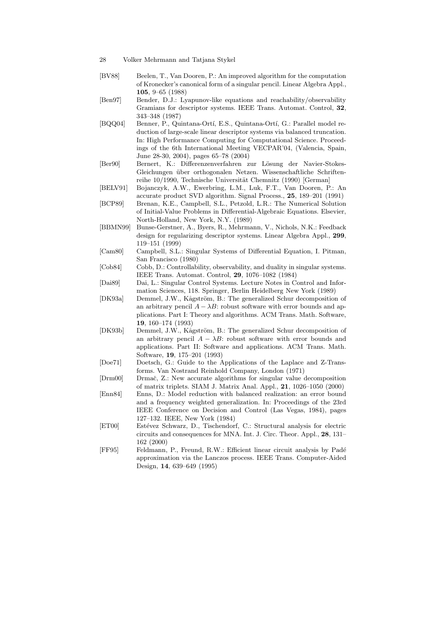- 28 Volker Mehrmann and Tatjana Stykel
- [BV88] Beelen, T., Van Dooren, P.: An improved algorithm for the computation of Kronecker's canonical form of a singular pencil. Linear Algebra Appl., 105, 9–65 (1988)
- [Ben97] Bender, D.J.: Lyapunov-like equations and reachability/observability Gramians for descriptor systems. IEEE Trans. Automat. Control, 32, 343–348 (1987)
- [BQQ04] Benner, P., Quintana-Ortí, E.S., Quintana-Ortí, G.: Parallel model reduction of large-scale linear descriptor systems via balanced truncation. In: High Performance Computing for Computational Science. Proceedings of the 6th International Meeting VECPAR'04, (Valencia, Spain, June 28-30, 2004), pages 65–78 (2004)
- [Ber90] Bernert, K.: Differenzenverfahren zur L¨osung der Navier-Stokes-Gleichungen über orthogonalen Netzen. Wissenschaftliche Schriftenreihe 10/1990, Technische Universität Chemnitz (1990) [German]
- [BELV91] Bojanczyk, A.W., Ewerbring, L.M., Luk, F.T., Van Dooren, P.: An accurate product SVD algorithm. Signal Process., 25, 189–201 (1991)
- [BCP89] Brenan, K.E., Campbell, S.L., Petzold, L.R.: The Numerical Solution of Initial-Value Problems in Differential-Algebraic Equations. Elsevier, North-Holland, New York, N.Y. (1989)
- [BBMN99] Bunse-Gerstner, A., Byers, R., Mehrmann, V., Nichols, N.K.: Feedback design for regularizing descriptor systems. Linear Algebra Appl., 299, 119–151 (1999)
- [Cam80] Campbell, S.L.: Singular Systems of Differential Equation, I. Pitman, San Francisco (1980)
- [Cob84] Cobb, D.: Controllability, observability, and duality in singular systems. IEEE Trans. Automat. Control, 29, 1076–1082 (1984)
- [Dai89] Dai, L.: Singular Control Systems. Lecture Notes in Control and Information Sciences, 118. Springer, Berlin Heidelberg New York (1989)
- [DK93a] Demmel, J.W., Kågström, B.: The generalized Schur decomposition of an arbitrary pencil  $A - \lambda B$ : robust software with error bounds and applications. Part I: Theory and algorithms. ACM Trans. Math. Software, 19, 160–174 (1993)
- [DK93b] Demmel, J.W., Kågström, B.: The generalized Schur decomposition of an arbitrary pencil  $A - \lambda B$ : robust software with error bounds and applications. Part II: Software and applications. ACM Trans. Math. Software, 19, 175–201 (1993)
- [Doe71] Doetsch, G.: Guide to the Applications of the Laplace and Z-Transforms. Van Nostrand Reinhold Company, London (1971)
- [Drm00] Drmač, Z.: New accurate algorithms for singular value decomposition of matrix triplets. SIAM J. Matrix Anal. Appl., 21, 1026–1050 (2000)
- [Enn84] Enns, D.: Model reduction with balanced realization: an error bound and a frequency weighted generalization. In: Proceedings of the 23rd IEEE Conference on Decision and Control (Las Vegas, 1984), pages 127–132. IEEE, New York (1984)
- [ET00] Estévez Schwarz, D., Tischendorf, C.: Structural analysis for electric circuits and consequences for MNA. Int. J. Circ. Theor. Appl., 28, 131– 162 (2000)
- [FF95] Feldmann, P., Freund, R.W.: Efficient linear circuit analysis by Pad´e approximation via the Lanczos process. IEEE Trans. Computer-Aided Design, 14, 639–649 (1995)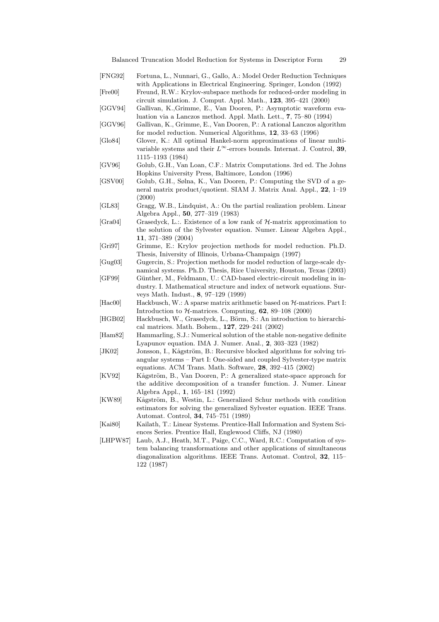- [FNG92] Fortuna, L., Nunnari, G., Gallo, A.: Model Order Reduction Techniques with Applications in Electrical Engineering. Springer, London (1992) [Fre00] Freund, R.W.: Krylov-subspace methods for reduced-order modeling in circuit simulation. J. Comput. Appl. Math., 123, 395–421 (2000) [GGV94] Gallivan, K.,Grimme, E., Van Dooren, P.: Asymptotic waveform evaluation via a Lanczos method. Appl. Math. Lett., 7, 75–80 (1994) [GGV96] Gallivan, K., Grimme, E., Van Dooren, P.: A rational Lanczos algorithm for model reduction. Numerical Algorithms, 12, 33–63 (1996) [Glo84] Glover, K.: All optimal Hankel-norm approximations of linear multivariable systems and their  $L^{\infty}$ -errors bounds. Internat. J. Control, 39, 1115–1193 (1984) [GV96] Golub, G.H., Van Loan, C.F.: Matrix Computations. 3rd ed. The Johns Hopkins University Press, Baltimore, London (1996) [GSV00] Golub, G.H., Sølna, K., Van Dooren, P.: Computing the SVD of a general matrix product/quotient. SIAM J. Matrix Anal. Appl., 22, 1–19 (2000) [GL83] Gragg, W.B., Lindquist, A.: On the partial realization problem. Linear Algebra Appl., 50, 277–319 (1983) [Gra04] Grasedyck, L.:. Existence of a low rank of H-matrix approximation to the solution of the Sylvester equation. Numer. Linear Algebra Appl., 11, 371–389 (2004) [Gri97] Grimme, E.: Krylov projection methods for model reduction. Ph.D. Thesis, Iniversity of Illinois, Urbana-Champaign (1997) [Gug03] Gugercin, S.: Projection methods for model reduction of large-scale dynamical systems. Ph.D. Thesis, Rice University, Houston, Texas (2003) [GF99] Günther, M., Feldmann, U.: CAD-based electric-circuit modeling in industry. I. Mathematical structure and index of network equations. Surveys Math. Indust., 8, 97–129 (1999) [Hac00] Hackbusch, W.: A sparse matrix arithmetic based on  $H$ -matrices. Part I: Introduction to  $H$ -matrices. Computing,  $62$ ,  $89-108$  (2000) [HGB02] Hackbusch, W., Grasedyck, L., Börm, S.: An introduction to hierarchical matrices. Math. Bohem., 127, 229–241 (2002) [Ham82] Hammarling, S.J.: Numerical solution of the stable non-negative definite Lyapunov equation. IMA J. Numer. Anal., 2, 303–323 (1982) [JK02] Jonsson, I., Kågström, B.: Recursive blocked algorithms for solving triangular systems – Part I: One-sided and coupled Sylvester-type matrix equations. ACM Trans. Math. Software, 28, 392–415 (2002) [KV92] Kågström, B., Van Dooren, P.: A generalized state-space approach for the additive decomposition of a transfer function. J. Numer. Linear Algebra Appl., 1, 165–181 (1992) [KW89] Kågström, B., Westin, L.: Generalized Schur methods with condition estimators for solving the generalized Sylvester equation. IEEE Trans. Automat. Control, 34, 745–751 (1989) [Kai80] Kailath, T.: Linear Systems. Prentice-Hall Information and System Sci-
- ences Series. Prentice Hall, Englewood Cliffs, NJ (1980) [LHPW87] Laub, A.J., Heath, M.T., Paige, C.C., Ward, R.C.: Computation of sys-
- tem balancing transformations and other applications of simultaneous diagonalization algorithms. IEEE Trans. Automat. Control, 32, 115– 122 (1987)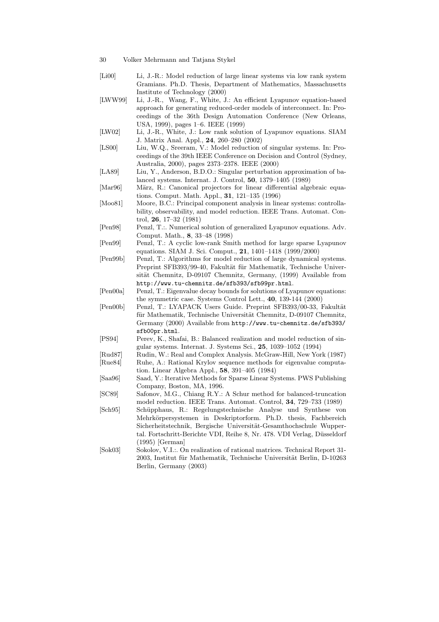- 30 Volker Mehrmann and Tatjana Stykel
- [Li00] Li, J.-R.: Model reduction of large linear systems via low rank system Gramians. Ph.D. Thesis, Department of Mathematics, Massachusetts Institute of Technology (2000)
- [LWW99] Li, J.-R., Wang, F., White, J.: An efficient Lyapunov equation-based approach for generating reduced-order models of interconnect. In: Proceedings of the 36th Design Automation Conference (New Orleans, USA, 1999), pages 1–6. IEEE (1999)
- [LW02] Li, J.-R., White, J.: Low rank solution of Lyapunov equations. SIAM J. Matrix Anal. Appl., 24, 260–280 (2002)
- [LS00] Liu, W.Q., Sreeram, V.: Model reduction of singular systems. In: Proceedings of the 39th IEEE Conference on Decision and Control (Sydney, Australia, 2000), pages 2373–2378. IEEE (2000)
- [LA89] Liu, Y., Anderson, B.D.O.: Singular perturbation approximation of balanced systems. Internat. J. Control, 50, 1379–1405 (1989)
- [Mar96] März, R.: Canonical projectors for linear differential algebraic equations. Comput. Math. Appl., 31, 121–135 (1996)
- [Moo81] Moore, B.C.: Principal component analysis in linear systems: controllability, observability, and model reduction. IEEE Trans. Automat. Control, 26, 17–32 (1981)
- [Pen98] Penzl, T.:. Numerical solution of generalized Lyapunov equations. Adv. Comput. Math., 8, 33–48 (1998)
- [Pen99] Penzl, T.: A cyclic low-rank Smith method for large sparse Lyapunov equations. SIAM J. Sci. Comput., 21, 1401–1418 (1999/2000)
- [Pen99b] Penzl, T.: Algorithms for model reduction of large dynamical systems. Preprint SFB393/99-40, Fakultät für Mathematik, Technische Universität Chemnitz, D-09107 Chemnitz, Germany, (1999) Available from http://www.tu-chemnitz.de/sfb393/sfb99pr.html.
- [Pen00a] Penzl, T.: Eigenvalue decay bounds for solutions of Lyapunov equations: the symmetric case. Systems Control Lett., 40, 139-144 (2000)
- [Pen00b] Penzl, T.: LYAPACK Users Guide. Preprint SFB393/00-33, Fakult¨at für Mathematik, Technische Universität Chemnitz, D-09107 Chemnitz, Germany (2000) Available from http://www.tu-chemnitz.de/sfb393/ sfb00pr.html.
- [PS94] Perev, K., Shafai, B.: Balanced realization and model reduction of singular systems. Internat. J. Systems Sci., 25, 1039–1052 (1994)
- [Rud87] Rudin, W.: Real and Complex Analysis. McGraw-Hill, New York (1987) [Rue84] Ruhe, A.: Rational Krylov sequence methods for eigenvalue computa-
- tion. Linear Algebra Appl., 58, 391–405 (1984) [Saa96] Saad, Y.: Iterative Methods for Sparse Linear Systems. PWS Publishing Company, Boston, MA, 1996.
- [SC89] Safonov, M.G., Chiang R.Y.: A Schur method for balanced-truncation model reduction. IEEE Trans. Automat. Control, 34, 729–733 (1989)
- [Sch95] Schüpphaus, R.: Regelungstechnische Analyse und Synthese von Mehrkörpersystemen in Deskriptorform. Ph.D. thesis, Fachbereich Sicherheitstechnik, Bergische Universität-Gesamthochschule Wuppertal. Fortschritt-Berichte VDI, Reihe 8, Nr. 478. VDI Verlag, Düsseldorf (1995) [German]
- [Sok03] Sokolov, V.I.:. On realization of rational matrices. Technical Report 31- 2003, Institut für Mathematik, Technische Universität Berlin, D-10263 Berlin, Germany (2003)